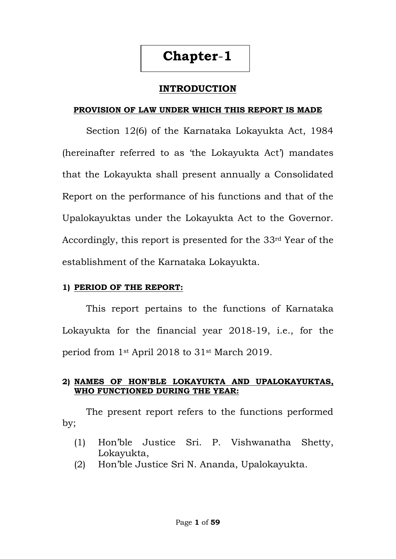# **Chapter**-**1**

## **INTRODUCTION**

#### **PROVISION OF LAW UNDER WHICH THIS REPORT IS MADE**

Section 12(6) of the Karnataka Lokayukta Act, 1984 (hereinafter referred to as 'the Lokayukta Act') mandates that the Lokayukta shall present annually a Consolidated Report on the performance of his functions and that of the Upalokayuktas under the Lokayukta Act to the Governor. Accordingly, this report is presented for the 33rd Year of the establishment of the Karnataka Lokayukta.

#### **1) PERIOD OF THE REPORT:**

This report pertains to the functions of Karnataka Lokayukta for the financial year 2018-19, i.e., for the period from 1st April 2018 to 31st March 2019.

#### **2) NAMES OF HON"BLE LOKAYUKTA AND UPALOKAYUKTAS, WHO FUNCTIONED DURING THE YEAR:**

The present report refers to the functions performed by;

- (1) Hon"ble Justice Sri. P. Vishwanatha Shetty, Lokayukta,
- (2) Hon"ble Justice Sri N. Ananda, Upalokayukta.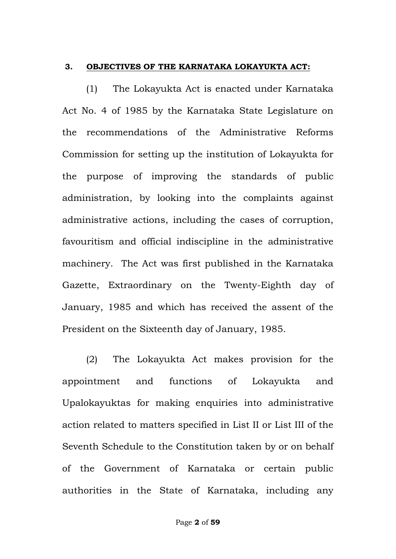#### **3. OBJECTIVES OF THE KARNATAKA LOKAYUKTA ACT:**

(1) The Lokayukta Act is enacted under Karnataka Act No. 4 of 1985 by the Karnataka State Legislature on the recommendations of the Administrative Reforms Commission for setting up the institution of Lokayukta for the purpose of improving the standards of public administration, by looking into the complaints against administrative actions, including the cases of corruption, favouritism and official indiscipline in the administrative machinery. The Act was first published in the Karnataka Gazette, Extraordinary on the Twenty-Eighth day of January, 1985 and which has received the assent of the President on the Sixteenth day of January, 1985.

(2) The Lokayukta Act makes provision for the appointment and functions of Lokayukta and Upalokayuktas for making enquiries into administrative action related to matters specified in List II or List III of the Seventh Schedule to the Constitution taken by or on behalf of the Government of Karnataka or certain public authorities in the State of Karnataka, including any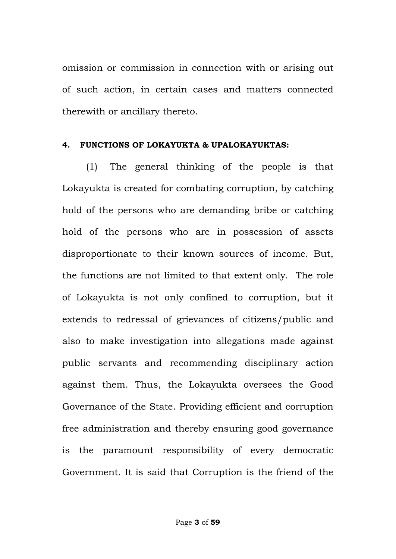omission or commission in connection with or arising out of such action, in certain cases and matters connected therewith or ancillary thereto.

#### **4. FUNCTIONS OF LOKAYUKTA & UPALOKAYUKTAS:**

(1) The general thinking of the people is that Lokayukta is created for combating corruption, by catching hold of the persons who are demanding bribe or catching hold of the persons who are in possession of assets disproportionate to their known sources of income. But, the functions are not limited to that extent only. The role of Lokayukta is not only confined to corruption, but it extends to redressal of grievances of citizens/public and also to make investigation into allegations made against public servants and recommending disciplinary action against them. Thus, the Lokayukta oversees the Good Governance of the State. Providing efficient and corruption free administration and thereby ensuring good governance is the paramount responsibility of every democratic Government. It is said that Corruption is the friend of the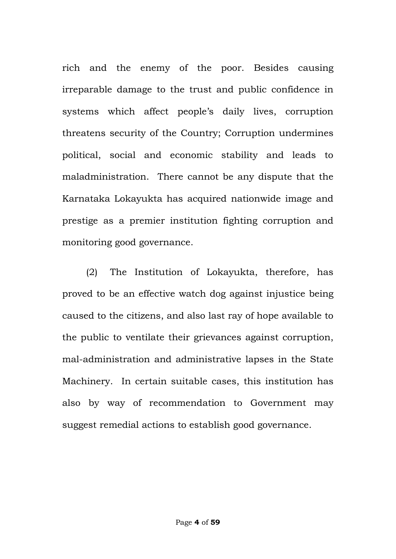rich and the enemy of the poor. Besides causing irreparable damage to the trust and public confidence in systems which affect people"s daily lives, corruption threatens security of the Country; Corruption undermines political, social and economic stability and leads to maladministration. There cannot be any dispute that the Karnataka Lokayukta has acquired nationwide image and prestige as a premier institution fighting corruption and monitoring good governance.

(2) The Institution of Lokayukta, therefore, has proved to be an effective watch dog against injustice being caused to the citizens, and also last ray of hope available to the public to ventilate their grievances against corruption, mal-administration and administrative lapses in the State Machinery. In certain suitable cases, this institution has also by way of recommendation to Government may suggest remedial actions to establish good governance.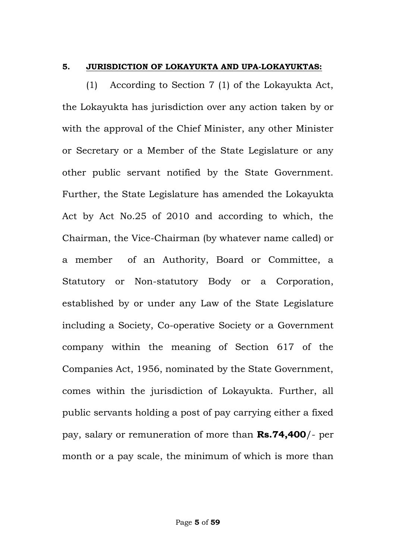#### **5. JURISDICTION OF LOKAYUKTA AND UPA-LOKAYUKTAS:**

(1) According to Section 7 (1) of the Lokayukta Act, the Lokayukta has jurisdiction over any action taken by or with the approval of the Chief Minister, any other Minister or Secretary or a Member of the State Legislature or any other public servant notified by the State Government. Further, the State Legislature has amended the Lokayukta Act by Act No.25 of 2010 and according to which, the Chairman, the Vice-Chairman (by whatever name called) or a member of an Authority, Board or Committee, a Statutory or Non-statutory Body or a Corporation, established by or under any Law of the State Legislature including a Society, Co-operative Society or a Government company within the meaning of Section 617 of the Companies Act, 1956, nominated by the State Government, comes within the jurisdiction of Lokayukta. Further, all public servants holding a post of pay carrying either a fixed pay, salary or remuneration of more than **Rs.74,400**/- per month or a pay scale, the minimum of which is more than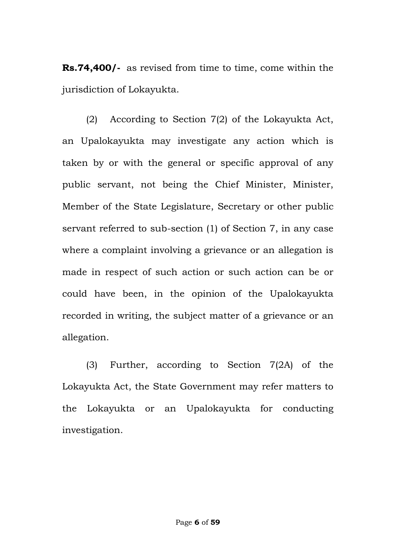**Rs.74,400/-** as revised from time to time, come within the jurisdiction of Lokayukta.

(2) According to Section 7(2) of the Lokayukta Act, an Upalokayukta may investigate any action which is taken by or with the general or specific approval of any public servant, not being the Chief Minister, Minister, Member of the State Legislature, Secretary or other public servant referred to sub-section (1) of Section 7, in any case where a complaint involving a grievance or an allegation is made in respect of such action or such action can be or could have been, in the opinion of the Upalokayukta recorded in writing, the subject matter of a grievance or an allegation.

(3) Further, according to Section 7(2A) of the Lokayukta Act, the State Government may refer matters to the Lokayukta or an Upalokayukta for conducting investigation.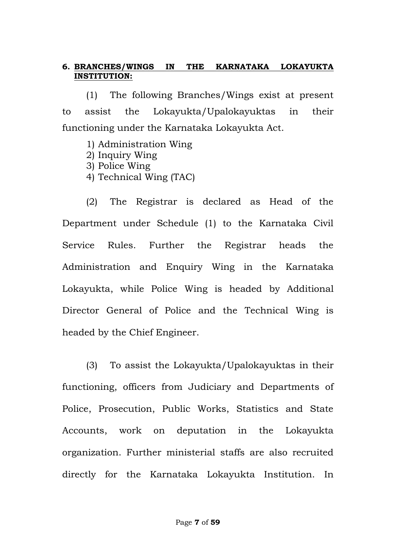#### **6. BRANCHES/WINGS IN THE KARNATAKA LOKAYUKTA INSTITUTION:**

(1) The following Branches/Wings exist at present to assist the Lokayukta/Upalokayuktas in their functioning under the Karnataka Lokayukta Act.

- 1) Administration Wing
- 2) Inquiry Wing
- 3) Police Wing
- 4) Technical Wing (TAC)

(2) The Registrar is declared as Head of the Department under Schedule (1) to the Karnataka Civil Service Rules. Further the Registrar heads the Administration and Enquiry Wing in the Karnataka Lokayukta, while Police Wing is headed by Additional Director General of Police and the Technical Wing is headed by the Chief Engineer.

(3) To assist the Lokayukta/Upalokayuktas in their functioning, officers from Judiciary and Departments of Police, Prosecution, Public Works, Statistics and State Accounts, work on deputation in the Lokayukta organization. Further ministerial staffs are also recruited directly for the Karnataka Lokayukta Institution. In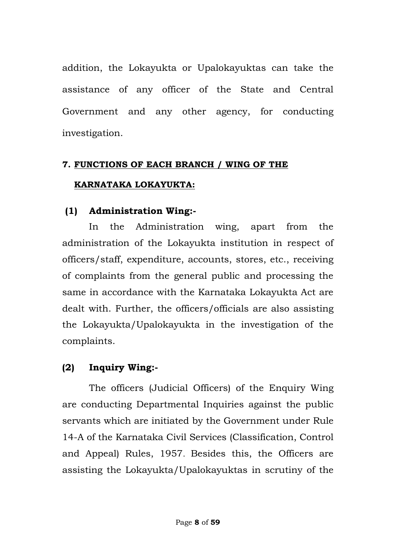addition, the Lokayukta or Upalokayuktas can take the assistance of any officer of the State and Central Government and any other agency, for conducting investigation.

## **7. FUNCTIONS OF EACH BRANCH / WING OF THE KARNATAKA LOKAYUKTA:**

## **(1) Administration Wing:-**

In the Administration wing, apart from the administration of the Lokayukta institution in respect of officers/staff, expenditure, accounts, stores, etc., receiving of complaints from the general public and processing the same in accordance with the Karnataka Lokayukta Act are dealt with. Further, the officers/officials are also assisting the Lokayukta/Upalokayukta in the investigation of the complaints.

### **(2) Inquiry Wing:-**

The officers (Judicial Officers) of the Enquiry Wing are conducting Departmental Inquiries against the public servants which are initiated by the Government under Rule 14-A of the Karnataka Civil Services (Classification, Control and Appeal) Rules, 1957. Besides this, the Officers are assisting the Lokayukta/Upalokayuktas in scrutiny of the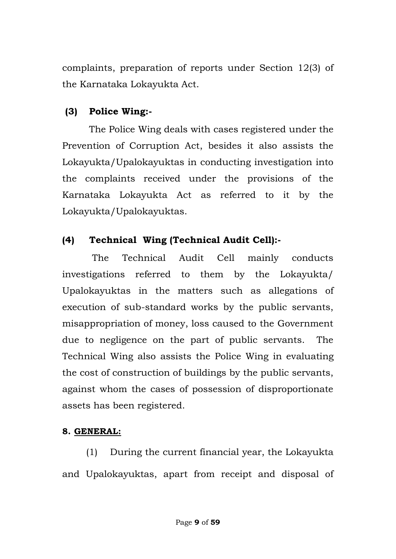complaints, preparation of reports under Section 12(3) of the Karnataka Lokayukta Act.

## **(3) Police Wing:-**

The Police Wing deals with cases registered under the Prevention of Corruption Act, besides it also assists the Lokayukta/Upalokayuktas in conducting investigation into the complaints received under the provisions of the Karnataka Lokayukta Act as referred to it by the Lokayukta/Upalokayuktas.

## **(4) Technical Wing (Technical Audit Cell):-**

 The Technical Audit Cell mainly conducts investigations referred to them by the Lokayukta/ Upalokayuktas in the matters such as allegations of execution of sub-standard works by the public servants, misappropriation of money, loss caused to the Government due to negligence on the part of public servants. The Technical Wing also assists the Police Wing in evaluating the cost of construction of buildings by the public servants, against whom the cases of possession of disproportionate assets has been registered.

### **8. GENERAL:**

(1) During the current financial year, the Lokayukta and Upalokayuktas, apart from receipt and disposal of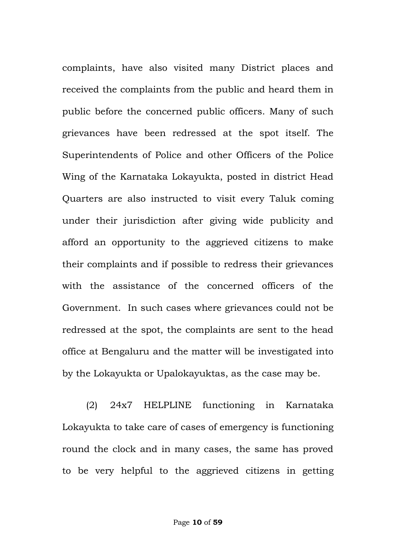complaints, have also visited many District places and received the complaints from the public and heard them in public before the concerned public officers. Many of such grievances have been redressed at the spot itself. The Superintendents of Police and other Officers of the Police Wing of the Karnataka Lokayukta, posted in district Head Quarters are also instructed to visit every Taluk coming under their jurisdiction after giving wide publicity and afford an opportunity to the aggrieved citizens to make their complaints and if possible to redress their grievances with the assistance of the concerned officers of the Government. In such cases where grievances could not be redressed at the spot, the complaints are sent to the head office at Bengaluru and the matter will be investigated into by the Lokayukta or Upalokayuktas, as the case may be.

(2) 24x7 HELPLINE functioning in Karnataka Lokayukta to take care of cases of emergency is functioning round the clock and in many cases, the same has proved to be very helpful to the aggrieved citizens in getting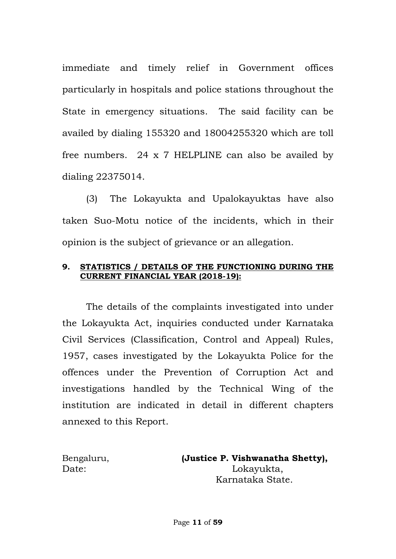immediate and timely relief in Government offices particularly in hospitals and police stations throughout the State in emergency situations. The said facility can be availed by dialing 155320 and 18004255320 which are toll free numbers. 24 x 7 HELPLINE can also be availed by dialing 22375014.

(3) The Lokayukta and Upalokayuktas have also taken Suo-Motu notice of the incidents, which in their opinion is the subject of grievance or an allegation.

#### **9. STATISTICS / DETAILS OF THE FUNCTIONING DURING THE CURRENT FINANCIAL YEAR (2018-19):**

The details of the complaints investigated into under the Lokayukta Act, inquiries conducted under Karnataka Civil Services (Classification, Control and Appeal) Rules, 1957, cases investigated by the Lokayukta Police for the offences under the Prevention of Corruption Act and investigations handled by the Technical Wing of the institution are indicated in detail in different chapters annexed to this Report.

Bengaluru, **(Justice P. Vishwanatha Shetty),** Date: Lokayukta, Karnataka State.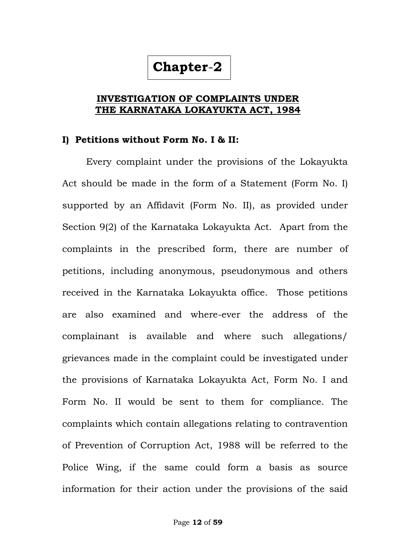## **Chapter**-**2**

#### **INVESTIGATION OF COMPLAINTS UNDER THE KARNATAKA LOKAYUKTA ACT, 1984**

#### **I) Petitions without Form No. I & II:**

Every complaint under the provisions of the Lokayukta Act should be made in the form of a Statement (Form No. I) supported by an Affidavit (Form No. II), as provided under Section 9(2) of the Karnataka Lokayukta Act. Apart from the complaints in the prescribed form, there are number of petitions, including anonymous, pseudonymous and others received in the Karnataka Lokayukta office. Those petitions are also examined and where-ever the address of the complainant is available and where such allegations/ grievances made in the complaint could be investigated under the provisions of Karnataka Lokayukta Act, Form No. I and Form No. II would be sent to them for compliance. The complaints which contain allegations relating to contravention of Prevention of Corruption Act, 1988 will be referred to the Police Wing, if the same could form a basis as source information for their action under the provisions of the said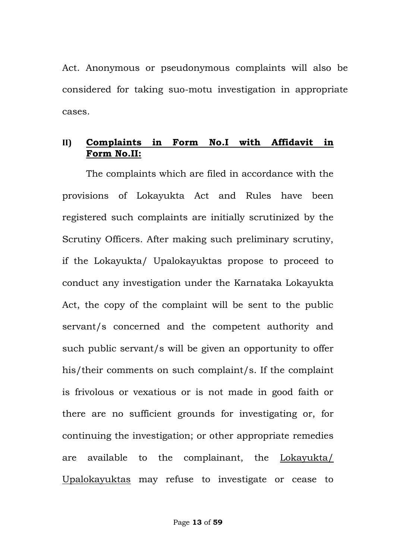Act. Anonymous or pseudonymous complaints will also be considered for taking suo-motu investigation in appropriate cases.

### **II) Complaints in Form No.I with Affidavit in Form No.II:**

The complaints which are filed in accordance with the provisions of Lokayukta Act and Rules have been registered such complaints are initially scrutinized by the Scrutiny Officers. After making such preliminary scrutiny, if the Lokayukta/ Upalokayuktas propose to proceed to conduct any investigation under the Karnataka Lokayukta Act, the copy of the complaint will be sent to the public servant/s concerned and the competent authority and such public servant/s will be given an opportunity to offer his/their comments on such complaint/s. If the complaint is frivolous or vexatious or is not made in good faith or there are no sufficient grounds for investigating or, for continuing the investigation; or other appropriate remedies are available to the complainant, the Lokayukta/ Upalokayuktas may refuse to investigate or cease to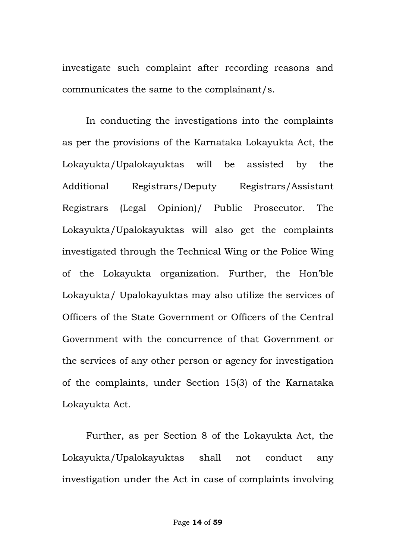investigate such complaint after recording reasons and communicates the same to the complainant/s.

In conducting the investigations into the complaints as per the provisions of the Karnataka Lokayukta Act, the Lokayukta/Upalokayuktas will be assisted by the Additional Registrars/Deputy Registrars/Assistant Registrars (Legal Opinion)/ Public Prosecutor. The Lokayukta/Upalokayuktas will also get the complaints investigated through the Technical Wing or the Police Wing of the Lokayukta organization. Further, the Hon"ble Lokayukta/ Upalokayuktas may also utilize the services of Officers of the State Government or Officers of the Central Government with the concurrence of that Government or the services of any other person or agency for investigation of the complaints, under Section 15(3) of the Karnataka Lokayukta Act.

Further, as per Section 8 of the Lokayukta Act, the Lokayukta/Upalokayuktas shall not conduct any investigation under the Act in case of complaints involving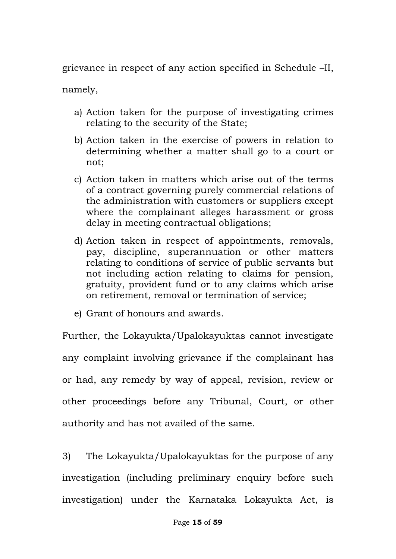grievance in respect of any action specified in Schedule –II,

namely,

- a) Action taken for the purpose of investigating crimes relating to the security of the State;
- b) Action taken in the exercise of powers in relation to determining whether a matter shall go to a court or not;
- c) Action taken in matters which arise out of the terms of a contract governing purely commercial relations of the administration with customers or suppliers except where the complainant alleges harassment or gross delay in meeting contractual obligations;
- d) Action taken in respect of appointments, removals, pay, discipline, superannuation or other matters relating to conditions of service of public servants but not including action relating to claims for pension, gratuity, provident fund or to any claims which arise on retirement, removal or termination of service;
- e) Grant of honours and awards.

Further, the Lokayukta/Upalokayuktas cannot investigate any complaint involving grievance if the complainant has or had, any remedy by way of appeal, revision, review or other proceedings before any Tribunal, Court, or other authority and has not availed of the same.

3) The Lokayukta/Upalokayuktas for the purpose of any investigation (including preliminary enquiry before such investigation) under the Karnataka Lokayukta Act, is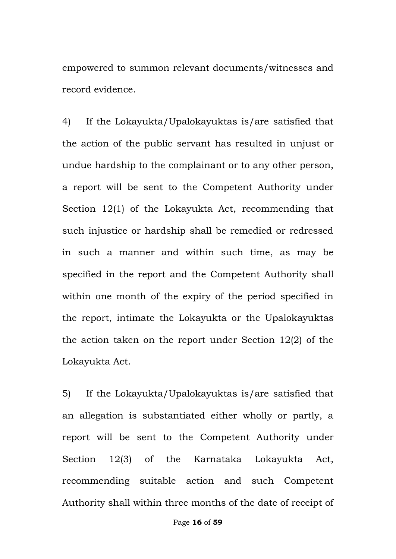empowered to summon relevant documents/witnesses and record evidence.

4) If the Lokayukta/Upalokayuktas is/are satisfied that the action of the public servant has resulted in unjust or undue hardship to the complainant or to any other person, a report will be sent to the Competent Authority under Section 12(1) of the Lokayukta Act, recommending that such injustice or hardship shall be remedied or redressed in such a manner and within such time, as may be specified in the report and the Competent Authority shall within one month of the expiry of the period specified in the report, intimate the Lokayukta or the Upalokayuktas the action taken on the report under Section 12(2) of the Lokayukta Act.

5) If the Lokayukta/Upalokayuktas is/are satisfied that an allegation is substantiated either wholly or partly, a report will be sent to the Competent Authority under Section 12(3) of the Karnataka Lokayukta Act, recommending suitable action and such Competent Authority shall within three months of the date of receipt of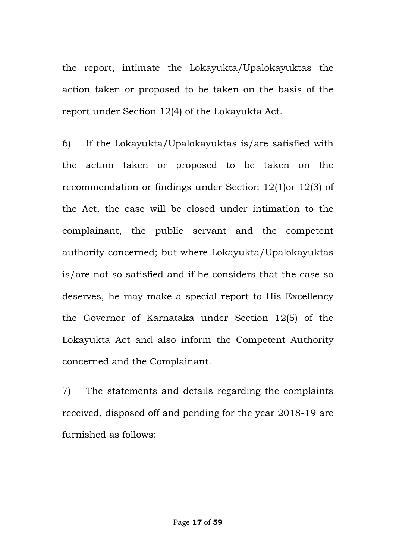the report, intimate the Lokayukta/Upalokayuktas the action taken or proposed to be taken on the basis of the report under Section 12(4) of the Lokayukta Act.

6) If the Lokayukta/Upalokayuktas is/are satisfied with the action taken or proposed to be taken on the recommendation or findings under Section 12(1)or 12(3) of the Act, the case will be closed under intimation to the complainant, the public servant and the competent authority concerned; but where Lokayukta/Upalokayuktas is/are not so satisfied and if he considers that the case so deserves, he may make a special report to His Excellency the Governor of Karnataka under Section 12(5) of the Lokayukta Act and also inform the Competent Authority concerned and the Complainant.

7) The statements and details regarding the complaints received, disposed off and pending for the year 2018-19 are furnished as follows: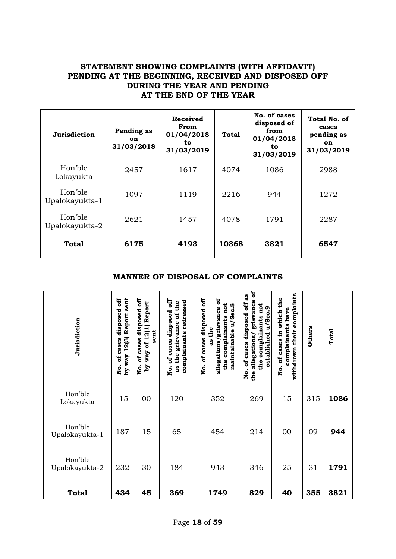#### **STATEMENT SHOWING COMPLAINTS (WITH AFFIDAVIT) PENDING AT THE BEGINNING, RECEIVED AND DISPOSED OFF DURING THE YEAR AND PENDING AT THE END OF THE YEAR**

| Jurisdiction              | Pending as<br><b>on</b><br>31/03/2018 | <b>Received</b><br>From<br>01/04/2018<br>to<br>31/03/2019 | <b>Total</b> | No. of cases<br>disposed of<br>from<br>01/04/2018<br>to<br>31/03/2019 | Total No. of<br>cases<br>pending as<br>on<br>31/03/2019 |
|---------------------------|---------------------------------------|-----------------------------------------------------------|--------------|-----------------------------------------------------------------------|---------------------------------------------------------|
| Hon'ble<br>Lokayukta      | 2457                                  | 1617                                                      | 4074         | 1086                                                                  | 2988                                                    |
| Hon'ble<br>Upalokayukta-1 | 1097                                  | 1119                                                      | 2216         | 944                                                                   | 1272                                                    |
| Hon'ble<br>Upalokayukta-2 | 2621                                  | 1457                                                      | 4078         | 1791                                                                  | 2287                                                    |
| <b>Total</b>              | 6175                                  | 4193                                                      | 10368        | 3821                                                                  | 6547                                                    |

#### **MANNER OF DISPOSAL OF COMPLAINTS**

| Jurisdiction              | by way 12(3) Report sent<br>ö<br>disposed<br>of cases<br>o<br>Z | off<br>way of 12(1) Report<br>disposed<br>sent<br>of cases<br>$\mathbf{A}\mathbf{q}$<br>o<br>R | of cases disposed off<br>complainants redressed<br>as the grievance of the<br>o<br>R | öff<br>allegations/grievance of<br>not<br>maintainable u/Sec.8<br>of cases disposed<br>complainants<br>as the<br>the<br>。<br>N | ទ<br>as<br>grievance<br><b>eff</b><br>the complainants not<br>established u/Sec.9<br>disposed<br>allegations/<br>of cases<br>。<br>N<br>the | complaints<br>the<br>complainants have<br>of cases in which<br>their<br>withdrawn<br>o.<br>R | <b>Others</b> | Total |
|---------------------------|-----------------------------------------------------------------|------------------------------------------------------------------------------------------------|--------------------------------------------------------------------------------------|--------------------------------------------------------------------------------------------------------------------------------|--------------------------------------------------------------------------------------------------------------------------------------------|----------------------------------------------------------------------------------------------|---------------|-------|
| Hon'ble<br>Lokayukta      | 15                                                              | 00                                                                                             | 120                                                                                  | 352                                                                                                                            | 269                                                                                                                                        | 15                                                                                           | 315           | 1086  |
| Hon'ble<br>Upalokayukta-1 | 187                                                             | 15                                                                                             | 65                                                                                   | 454                                                                                                                            | 214                                                                                                                                        | 00                                                                                           | 09            | 944   |
| Hon'ble<br>Upalokayukta-2 | 232                                                             | 30                                                                                             | 184                                                                                  | 943                                                                                                                            | 346                                                                                                                                        | 25                                                                                           | 31            | 1791  |
| <b>Total</b>              | 434                                                             | 45                                                                                             | 369                                                                                  | 1749                                                                                                                           | 829                                                                                                                                        | 40                                                                                           | 355           | 3821  |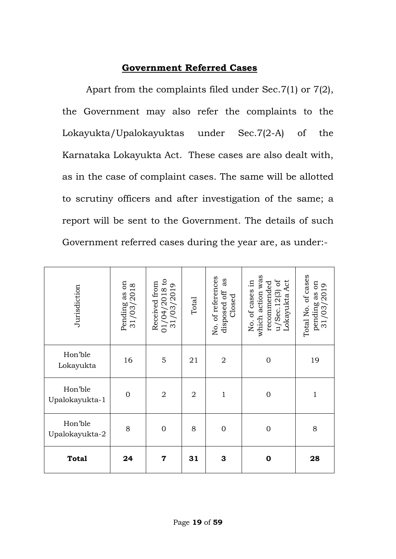## **Government Referred Cases**

Apart from the complaints filed under Sec.7(1) or 7(2), the Government may also refer the complaints to the Lokayukta/Upalokayuktas under Sec.7(2-A) of the Karnataka Lokayukta Act. These cases are also dealt with, as in the case of complaint cases. The same will be allotted to scrutiny officers and after investigation of the same; a report will be sent to the Government. The details of such Government referred cases during the year are, as under:-

| Jurisdiction              | Pending as on<br>31/03/2018 | $\mathsf{c}_1$<br>Received from<br>01/04/2018 tc<br>31/03/2019 | Total          | No. of references<br>as<br>disposed off<br>Closed | which action was<br>$u/$ Sec. 12(3) of<br>No. of cases in<br>Lokayukta Act<br>recommended | Total No. of cases<br>pending as on<br>$31/03/2019$ |
|---------------------------|-----------------------------|----------------------------------------------------------------|----------------|---------------------------------------------------|-------------------------------------------------------------------------------------------|-----------------------------------------------------|
| Hon'ble<br>Lokayukta      | 16                          | 5                                                              | 21             | $\sqrt{2}$                                        | $\mathbf{0}$                                                                              | 19                                                  |
| Hon'ble<br>Upalokayukta-1 | $\overline{0}$              | $\overline{2}$                                                 | $\overline{2}$ | $\mathbf{1}$                                      | $\mathbf{0}$                                                                              | $\mathbf{1}$                                        |
| Hon'ble<br>Upalokayukta-2 | 8                           | $\mathbf 0$                                                    | 8              | $\mathbf 0$                                       | $\mathbf{0}$                                                                              | 8                                                   |
| <b>Total</b>              | 24                          | $\overline{7}$                                                 | 31             | 3                                                 | $\mathbf 0$                                                                               | 28                                                  |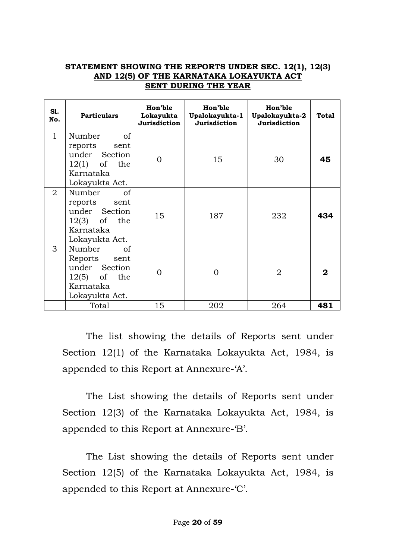#### **STATEMENT SHOWING THE REPORTS UNDER SEC. 12(1), 12(3) AND 12(5) OF THE KARNATAKA LOKAYUKTA ACT SENT DURING THE YEAR**

| S1.<br>No.     | <b>Particulars</b>                                                                                | Hon'ble<br>Lokayukta<br><b>Jurisdiction</b> | Hon'ble<br>Upalokayukta-1<br>Jurisdiction | Hon'ble<br>Upalokayukta-2<br>Jurisdiction | Total |
|----------------|---------------------------------------------------------------------------------------------------|---------------------------------------------|-------------------------------------------|-------------------------------------------|-------|
| $\mathbf{1}$   | Number<br>of<br>reports<br>sent<br>under Section<br>$12(1)$ of the<br>Karnataka<br>Lokayukta Act. | 0                                           | 15                                        | 30                                        | 45    |
| $\overline{2}$ | Number<br>of<br>reports sent<br>under Section<br>$12(3)$ of the<br>Karnataka<br>Lokayukta Act.    | 15                                          | 187                                       | 232                                       | 434   |
| 3              | Number<br>of<br>Reports sent<br>under Section<br>$12(5)$ of the<br>Karnataka<br>Lokayukta Act.    | ∩                                           | $\Omega$                                  | $\overline{2}$                            | 2     |
|                | Total                                                                                             | 15                                          | 202                                       | 264                                       | 481   |

The list showing the details of Reports sent under Section 12(1) of the Karnataka Lokayukta Act, 1984, is appended to this Report at Annexure-'A'.

The List showing the details of Reports sent under Section 12(3) of the Karnataka Lokayukta Act, 1984, is appended to this Report at Annexure-'B'.

The List showing the details of Reports sent under Section 12(5) of the Karnataka Lokayukta Act, 1984, is appended to this Report at Annexure-'C'.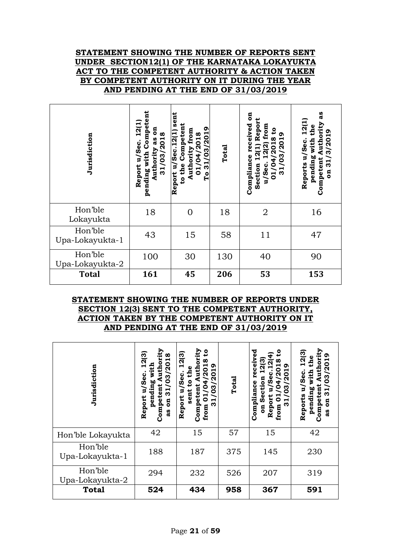#### **STATEMENT SHOWING THE NUMBER OF REPORTS SENT UNDER SECTION12(1) OF THE KARNATAKA LOKAYUKTA ACT TO THE COMPETENT AUTHORITY & ACTION TAKEN BY COMPETENT AUTHORITY ON IT DURING THE YEAR AND PENDING AT THE END OF 31/03/2019**

| Jurisdiction               | Competent<br>12(1<br>5<br>2018<br>as<br>ပ္ၿ<br>ง<br>บุ<br>Authority<br>pending with<br>31/03<br>Report | sent<br>to the Competent<br>/03/2019<br>Authority from<br>Report u/Sec. 12(1)<br>01/04/2018<br>31<br>Сo | Total | ទី<br>12(1) Repor<br>received<br>from<br>$\mathbf{c}$<br>ᡡ<br>/2018<br>03/201<br>12(2)<br>Compliance<br>4<br>Section<br>u/Sec.<br>$\overline{3}1$<br>$\overline{1}$ | 3g<br>12(1<br>Authority<br>the<br>31/3/2019<br>pending with<br>Reports u/Sec.<br>Competent<br>$\overline{\mathbf{a}}$ |
|----------------------------|--------------------------------------------------------------------------------------------------------|---------------------------------------------------------------------------------------------------------|-------|---------------------------------------------------------------------------------------------------------------------------------------------------------------------|-----------------------------------------------------------------------------------------------------------------------|
| Hon'ble<br>Lokayukta       | 18                                                                                                     | 0                                                                                                       | 18    | $\overline{2}$                                                                                                                                                      | 16                                                                                                                    |
| Hon'ble<br>Upa-Lokayukta-1 | 43                                                                                                     | 15                                                                                                      | 58    | 11                                                                                                                                                                  | 47                                                                                                                    |
| Hon'ble<br>Upa-Lokayukta-2 | 100                                                                                                    | 30                                                                                                      | 130   | 40                                                                                                                                                                  | 90                                                                                                                    |
| <b>Total</b>               | 161                                                                                                    | 45                                                                                                      | 206   | 53                                                                                                                                                                  | 153                                                                                                                   |

#### **STATEMENT SHOWING THE NUMBER OF REPORTS UNDER SECTION 12(3) SENT TO THE COMPETENT AUTHORITY, ACTION TAKEN BY THE COMPETENT AUTHORITY ON IT AND PENDING AT THE END OF 31/03/2019**

| Jurisdiction               | Authority<br>12(3)<br>31/03/2018<br>with<br>း<br>၁၉<br>pending<br>Competent<br>P<br>Report<br>$\overline{a}$<br>as<br>a | ority<br>٥<br>12(3)<br>ထ<br>$\mathbf{5}$<br>႙<br>š<br>/Sec.<br>႙<br><u>ទ</u><br>က<br>Ē<br>sent<br>≏<br>Report<br>5<br>Compet<br>ო<br>from | Total | ಕ<br>eiv<br>თ<br>ō<br>a<br>ω<br>႙<br>8<br>Compliance<br>Ë<br>ო<br>5<br>っ<br>ق<br>م<br>Report<br>0<br>ო<br>from<br>$\overline{a}$ | Authority<br>12(3)<br>31/03/2019<br>the<br>with<br>u/Sec.<br>Competent<br>pending<br>Reports<br>$\overline{a}$<br>as |
|----------------------------|-------------------------------------------------------------------------------------------------------------------------|-------------------------------------------------------------------------------------------------------------------------------------------|-------|----------------------------------------------------------------------------------------------------------------------------------|----------------------------------------------------------------------------------------------------------------------|
| Hon'ble Lokayukta          | 42                                                                                                                      | 15                                                                                                                                        | 57    | 15                                                                                                                               | 42                                                                                                                   |
| Hon'ble<br>Upa-Lokayukta-1 | 188                                                                                                                     | 187                                                                                                                                       | 375   | 145                                                                                                                              | 230                                                                                                                  |
| Hon'ble<br>Upa-Lokayukta-2 | 294                                                                                                                     | 232                                                                                                                                       | 526   | 207                                                                                                                              | 319                                                                                                                  |
| <b>Total</b>               | 524                                                                                                                     | 434                                                                                                                                       | 958   | 367                                                                                                                              | 591                                                                                                                  |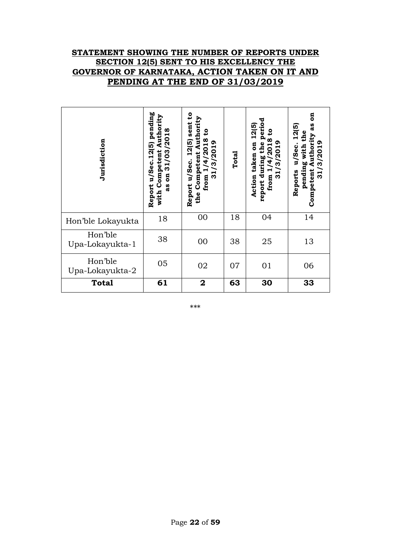#### **STATEMENT SHOWING THE NUMBER OF REPORTS UNDER SECTION 12(5) SENT TO HIS EXCELLENCY THE GOVERNOR OF KARNATAKA, ACTION TAKEN ON IT AND PENDING AT THE END OF 31/03/2019**

| Jurisdiction               | pending<br>with Competent Authority<br>31/03/2018<br>Report u/Sec.12(5)<br>$\overline{\mathbf{g}}$<br>as | $\mathbf{c}$<br>Authority<br>sent :<br>និ<br>1/4/2018<br>12(5)<br>/3/2019<br>Competent<br>Report u/Sec.<br>$\overline{31}$<br>from<br>the | Total | period<br>12(5)<br>ៜ<br>ထ<br>31/3/2019<br>the<br>$\overline{5}$<br>$\overline{20}$<br>taken<br>report during<br>4<br>Action<br>from | ទី<br>as<br>12(5)<br>with the<br>Authority<br>31/3/2019<br>u/Sec.<br>pending<br>Competent<br>Reports |
|----------------------------|----------------------------------------------------------------------------------------------------------|-------------------------------------------------------------------------------------------------------------------------------------------|-------|-------------------------------------------------------------------------------------------------------------------------------------|------------------------------------------------------------------------------------------------------|
| Hon'ble Lokayukta          | 18                                                                                                       | 00                                                                                                                                        | 18    | 04                                                                                                                                  | 14                                                                                                   |
| Hon'ble<br>Upa-Lokayukta-1 | 38                                                                                                       | 00                                                                                                                                        | 38    | 25                                                                                                                                  | 13                                                                                                   |
| Hon'ble<br>Upa-Lokayukta-2 | 05                                                                                                       | 02                                                                                                                                        | 07    | 01                                                                                                                                  | 06                                                                                                   |
| <b>Total</b>               | 61                                                                                                       | $\overline{\mathbf{2}}$                                                                                                                   | 63    | 30                                                                                                                                  | 33                                                                                                   |

\*\*\*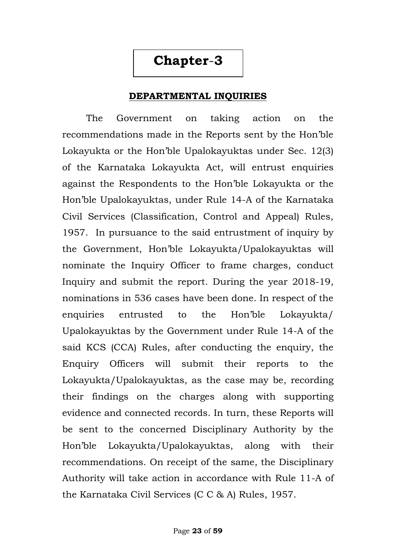## **Chapter**-**3**

#### **DEPARTMENTAL INQUIRIES**

The Government on taking action on the recommendations made in the Reports sent by the Hon"ble Lokayukta or the Hon"ble Upalokayuktas under Sec. 12(3) of the Karnataka Lokayukta Act, will entrust enquiries against the Respondents to the Hon"ble Lokayukta or the Hon"ble Upalokayuktas, under Rule 14-A of the Karnataka Civil Services (Classification, Control and Appeal) Rules, 1957. In pursuance to the said entrustment of inquiry by the Government, Hon"ble Lokayukta/Upalokayuktas will nominate the Inquiry Officer to frame charges, conduct Inquiry and submit the report. During the year 2018-19, nominations in 536 cases have been done. In respect of the enquiries entrusted to the Hon"ble Lokayukta/ Upalokayuktas by the Government under Rule 14-A of the said KCS (CCA) Rules, after conducting the enquiry, the Enquiry Officers will submit their reports to the Lokayukta/Upalokayuktas, as the case may be, recording their findings on the charges along with supporting evidence and connected records. In turn, these Reports will be sent to the concerned Disciplinary Authority by the Hon"ble Lokayukta/Upalokayuktas, along with their recommendations. On receipt of the same, the Disciplinary Authority will take action in accordance with Rule 11-A of the Karnataka Civil Services (C C & A) Rules, 1957.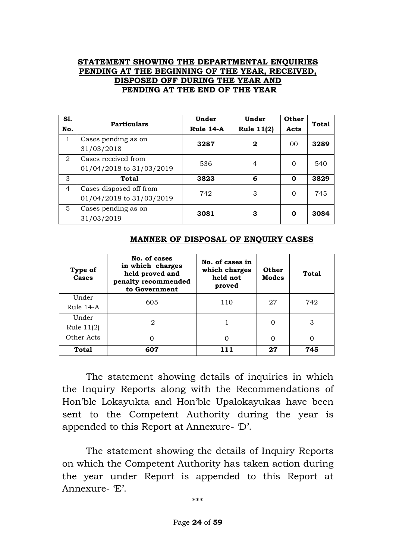#### **STATEMENT SHOWING THE DEPARTMENTAL ENQUIRIES PENDING AT THE BEGINNING OF THE YEAR, RECEIVED, DISPOSED OFF DURING THE YEAR AND PENDING AT THE END OF THE YEAR**

| S1.<br>No.     | <b>Particulars</b>                                  | Under<br>Rule 14-A | Under<br>Rule 11(2) | <b>Other</b><br>Acts | <b>Total</b> |
|----------------|-----------------------------------------------------|--------------------|---------------------|----------------------|--------------|
| $\mathbf{1}$   | Cases pending as on<br>31/03/2018                   | 3287               | $\mathbf{2}$        | $00 \,$              | 3289         |
| 2              | Cases received from<br>01/04/2018 to 31/03/2019     | 536                | 4                   | $\Omega$             | 540          |
| 3              | <b>Total</b>                                        | 3823               | 6                   | 0                    | 3829         |
| $\overline{4}$ | Cases disposed off from<br>01/04/2018 to 31/03/2019 | 742                | 3                   | $\Omega$             | 745          |
| 5              | Cases pending as on<br>31/03/2019                   | 3081               | 3                   | 0                    | 3084         |

| Type of<br><b>Cases</b> | No. of cases<br>in which charges<br>held proved and<br>penalty recommended<br>to Government | No. of cases in<br>which charges<br>held not<br>proved | <b>Other</b><br><b>Modes</b> | <b>Total</b> |
|-------------------------|---------------------------------------------------------------------------------------------|--------------------------------------------------------|------------------------------|--------------|
| Under<br>Rule 14-A      | 605                                                                                         | 110                                                    | 27                           | 742          |
|                         |                                                                                             |                                                        |                              |              |
| Under                   | 2                                                                                           |                                                        | 0                            | 3            |
| Rule 11(2)              |                                                                                             |                                                        |                              |              |
| Other Acts              |                                                                                             |                                                        |                              |              |

**Total 607 111 27 745**

#### **MANNER OF DISPOSAL OF ENQUIRY CASES**

The statement showing details of inquiries in which the Inquiry Reports along with the Recommendations of Hon"ble Lokayukta and Hon"ble Upalokayukas have been sent to the Competent Authority during the year is appended to this Report at Annexure- "D".

The statement showing the details of Inquiry Reports on which the Competent Authority has taken action during the year under Report is appended to this Report at Annexure- 'E'.

\*\*\*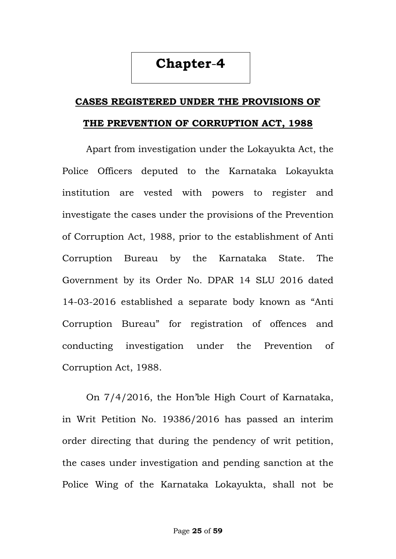## **Chapter**-**4**

## **CASES REGISTERED UNDER THE PROVISIONS OF THE PREVENTION OF CORRUPTION ACT, 1988**

Apart from investigation under the Lokayukta Act, the Police Officers deputed to the Karnataka Lokayukta institution are vested with powers to register and investigate the cases under the provisions of the Prevention of Corruption Act, 1988, prior to the establishment of Anti Corruption Bureau by the Karnataka State. The Government by its Order No. DPAR 14 SLU 2016 dated 14-03-2016 established a separate body known as "Anti Corruption Bureau" for registration of offences and conducting investigation under the Prevention of Corruption Act, 1988.

On 7/4/2016, the Hon"ble High Court of Karnataka, in Writ Petition No. 19386/2016 has passed an interim order directing that during the pendency of writ petition, the cases under investigation and pending sanction at the Police Wing of the Karnataka Lokayukta, shall not be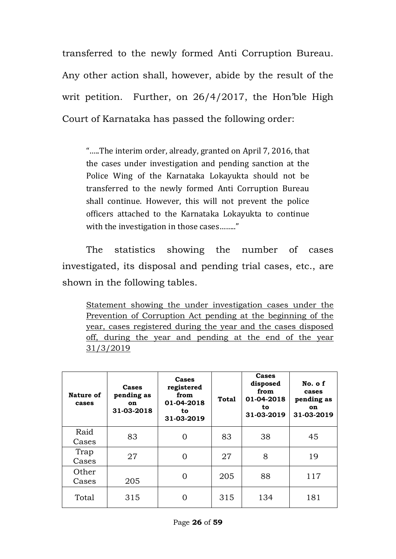transferred to the newly formed Anti Corruption Bureau. Any other action shall, however, abide by the result of the writ petition. Further, on 26/4/2017, the Hon"ble High Court of Karnataka has passed the following order:

"…..The interim order, already, granted on April 7, 2016, that the cases under investigation and pending sanction at the Police Wing of the Karnataka Lokayukta should not be transferred to the newly formed Anti Corruption Bureau shall continue. However, this will not prevent the police officers attached to the Karnataka Lokayukta to continue with the investigation in those cases........"

The statistics showing the number of cases investigated, its disposal and pending trial cases, etc., are shown in the following tables.

Statement showing the under investigation cases under the Prevention of Corruption Act pending at the beginning of the year, cases registered during the year and the cases disposed off, during the year and pending at the end of the year 31/3/2019

| Nature of<br>cases | Cases<br>pending as<br><b>on</b><br>31-03-2018 | Cases<br>registered<br>from<br>01-04-2018<br>to<br>31-03-2019 | <b>Total</b> | Cases<br>disposed<br>from<br>01-04-2018<br>to.<br>31-03-2019 | No. of<br>cases<br>pending as<br><b>on</b><br>31-03-2019 |
|--------------------|------------------------------------------------|---------------------------------------------------------------|--------------|--------------------------------------------------------------|----------------------------------------------------------|
| Raid<br>Cases      | 83                                             |                                                               | 83           | 38                                                           | 45                                                       |
| Trap<br>Cases      | 27                                             | 0                                                             | 27           | 8                                                            | 19                                                       |
| Other<br>Cases     | 205                                            |                                                               | 205          | 88                                                           | 117                                                      |
| Total              | 315                                            |                                                               | 315          | 134                                                          | 181                                                      |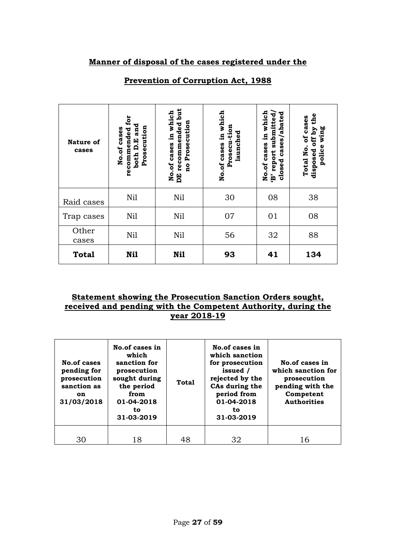#### **Manner of disposal of the cases registered under the**

| <b>Nature of</b><br>cases | for<br>and<br>Prosecution<br>cases<br>recommended<br>both D.E<br>No.of | recommended but<br>No.of cases in which<br>Prosecution<br>$\overline{\mathbf{a}}$<br>EQ | which<br>Prosecu-tion<br>launched<br>E.<br>No.of cases | in which<br>cases/abated<br>submitted<br>No.of cases<br>report<br>closed<br>ĝ, | the<br>Total No. of cases<br>disposed off by<br>wing<br>police |
|---------------------------|------------------------------------------------------------------------|-----------------------------------------------------------------------------------------|--------------------------------------------------------|--------------------------------------------------------------------------------|----------------------------------------------------------------|
| Raid cases                | Nil                                                                    | Nil                                                                                     | 30                                                     | 08                                                                             | 38                                                             |
| Trap cases                | Nil                                                                    | Nil                                                                                     | 07                                                     | 01                                                                             | 08                                                             |
| Other<br>cases            | Nil                                                                    | Nil                                                                                     | 56                                                     | 32                                                                             | 88                                                             |
| <b>Total</b>              | Nil                                                                    | Ni1                                                                                     | 93                                                     | 41                                                                             | 134                                                            |

#### **Prevention of Corruption Act, 1988**

#### **Statement showing the Prosecution Sanction Orders sought, received and pending with the Competent Authority, during the year 2018-19**

| <b>No.of cases</b><br>pending for<br>prosecution<br>sanction as<br>on<br>31/03/2018 | No.of cases in<br>which<br>sanction for<br>prosecution<br>sought during<br>the period<br>from<br>01-04-2018<br>to<br>31-03-2019 | <b>Total</b> | No.of cases in<br>which sanction<br>for prosecution<br>issued /<br>rejected by the<br>CAs during the<br>period from<br>01-04-2018<br>to<br>31-03-2019 | No.of cases in<br>which sanction for<br>prosecution<br>pending with the<br>Competent<br><b>Authorities</b> |
|-------------------------------------------------------------------------------------|---------------------------------------------------------------------------------------------------------------------------------|--------------|-------------------------------------------------------------------------------------------------------------------------------------------------------|------------------------------------------------------------------------------------------------------------|
| 30                                                                                  | 18                                                                                                                              | 48           | 32                                                                                                                                                    | 16                                                                                                         |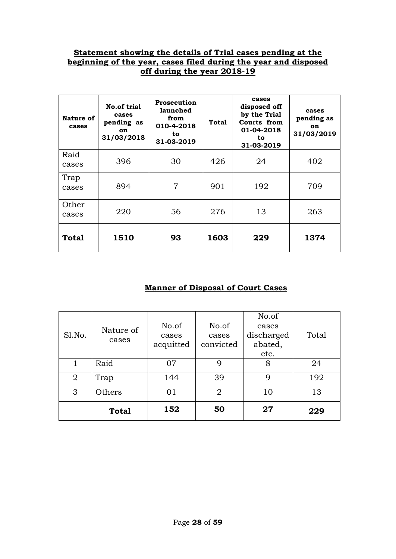#### **Statement showing the details of Trial cases pending at the beginning of the year, cases filed during the year and disposed off during the year 2018-19**

| Nature of<br>cases | No.of trial<br>cases<br>pending as<br><b>on</b><br>31/03/2018 | <b>Prosecution</b><br>launched<br>from<br>010-4-2018<br>to<br>31-03-2019 | Total | cases<br>disposed off<br>by the Trial<br>Courts from<br>01-04-2018<br>to<br>31-03-2019 | cases<br>pending as<br><b>on</b><br>31/03/2019 |
|--------------------|---------------------------------------------------------------|--------------------------------------------------------------------------|-------|----------------------------------------------------------------------------------------|------------------------------------------------|
| Raid<br>cases      | 396                                                           | 30                                                                       | 426   | 24                                                                                     | 402                                            |
| Trap<br>cases      | 894                                                           | 7                                                                        | 901   | 192                                                                                    | 709                                            |
| Other<br>cases     | 220                                                           | 56                                                                       | 276   | 13                                                                                     | 263                                            |
| <b>Total</b>       | 1510                                                          | 93                                                                       | 1603  | 229                                                                                    | 1374                                           |

#### **Manner of Disposal of Court Cases**

| Sl.No. | Nature of<br>cases | No.of<br>cases<br>acquitted | No.of<br>cases<br>convicted | No.of<br>cases<br>discharged<br>abated,<br>etc. | Total |
|--------|--------------------|-----------------------------|-----------------------------|-------------------------------------------------|-------|
| 1      | Raid               | 07                          | 9                           | 8                                               | 24    |
| 2      | Trap               | 144                         | 39                          | 9                                               | 192   |
| 3      | Others             | 01                          | $\overline{2}$              | 10                                              | 13    |
|        | <b>Total</b>       | 152                         | 50                          | 27                                              | 229   |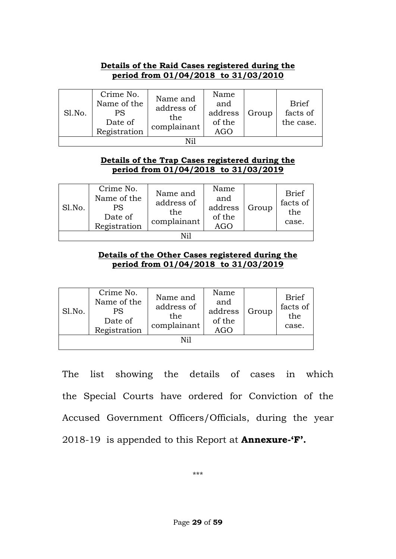#### **Details of the Raid Cases registered during the period from 01/04/2018 to 31/03/2010**

| Sl.No. | Crime No.<br>Name of the<br>PS<br>Date of<br>Registration | Name and<br>address of<br>the<br>complainant | Name<br>and<br>address<br>of the<br>AGO | Group | <b>Brief</b><br>facts of<br>the case. |  |  |  |
|--------|-----------------------------------------------------------|----------------------------------------------|-----------------------------------------|-------|---------------------------------------|--|--|--|
|        |                                                           |                                              |                                         |       |                                       |  |  |  |

#### **Details of the Trap Cases registered during the period from 01/04/2018 to 31/03/2019**

| Sl.No. | Crime No.<br>Name of the<br>PS<br>Date of<br>Registration | Name and<br>address of<br>the<br>complainant | Name<br>and<br>address<br>of the<br><b>AGO</b> | Group | <b>Brief</b><br>facts of<br>the<br>case. |  |  |  |
|--------|-----------------------------------------------------------|----------------------------------------------|------------------------------------------------|-------|------------------------------------------|--|--|--|
|        |                                                           |                                              |                                                |       |                                          |  |  |  |

#### **Details of the Other Cases registered during the period from 01/04/2018 to 31/03/2019**

| Sl.No. | Crime No.<br>Name of the<br>PS<br>Date of<br>Registration | Name and<br>address of<br>the<br>complainant | Name<br>and<br>address<br>of the<br>AGO | Group | <b>Brief</b><br>facts of<br>the<br>case. |  |  |  |
|--------|-----------------------------------------------------------|----------------------------------------------|-----------------------------------------|-------|------------------------------------------|--|--|--|
| Nil    |                                                           |                                              |                                         |       |                                          |  |  |  |

The list showing the details of cases in which the Special Courts have ordered for Conviction of the Accused Government Officers/Officials, during the year 2018-19 is appended to this Report at **Annexure-"F".**

\*\*\*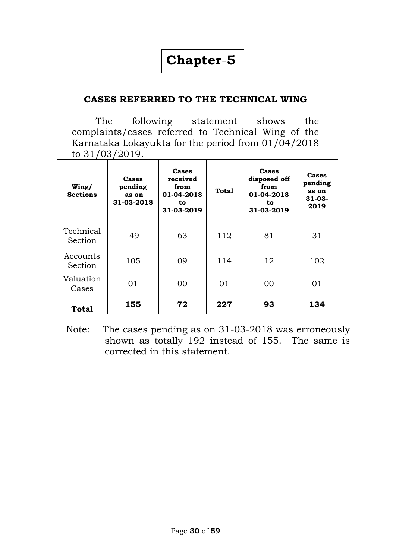# **Chapter**-**5**

### **CASES REFERRED TO THE TECHNICAL WING**

The following statement shows the complaints/cases referred to Technical Wing of the Karnataka Lokayukta for the period from 01/04/2018 to 31/03/2019.

| Wing/<br><b>Sections</b> | Cases<br>pending<br>as on<br>31-03-2018 | Cases<br>received<br>from<br>01-04-2018<br>to<br>31-03-2019 | <b>Total</b> | Cases<br>disposed off<br>from<br>01-04-2018<br>to<br>31-03-2019 | Cases<br>pending<br>as on<br>$31 - 03 -$<br>2019 |
|--------------------------|-----------------------------------------|-------------------------------------------------------------|--------------|-----------------------------------------------------------------|--------------------------------------------------|
| Technical<br>Section     | 49                                      | 63                                                          | 112          | 81                                                              | 31                                               |
| Accounts<br>Section      | 105                                     | 09                                                          | 114          | 12                                                              | 102                                              |
| Valuation<br>Cases       | 01                                      | 00                                                          | 01           | 00                                                              | 01                                               |
| <b>Total</b>             | 155                                     | 72                                                          | 227          | 93                                                              | 134                                              |

 Note: The cases pending as on 31-03-2018 was erroneously shown as totally 192 instead of 155. The same is corrected in this statement.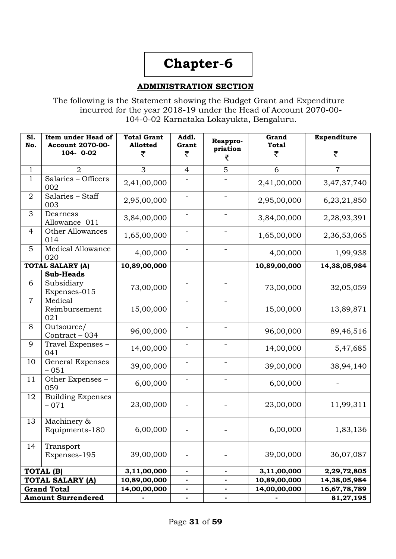# **Chapter**-**6**

#### **ADMINISTRATION SECTION**

The following is the Statement showing the Budget Grant and Expenditure incurred for the year 2018-19 under the Head of Account 2070-00- 104-0-02 Karnataka Lokayukta, Bengaluru.

| S1.<br>No.     | Item under Head of<br><b>Account 2070-00-</b><br>104-0-02 | <b>Total Grant</b><br>Allotted<br>₹ | Addl.<br>Grant<br>₹      | Reappro-<br>priation<br>₹ | Grand<br><b>Total</b><br>₹ | Expenditure<br>₹ |
|----------------|-----------------------------------------------------------|-------------------------------------|--------------------------|---------------------------|----------------------------|------------------|
| $\mathbf{1}$   | $\overline{2}$                                            | 3                                   | $\overline{4}$           | 5                         | 6                          | $\overline{7}$   |
| $\mathbf{1}$   | Salaries - Officers<br>002                                | 2,41,00,000                         |                          |                           | 2,41,00,000                | 3,47,37,740      |
| $\overline{2}$ | Salaries - Staff<br>003                                   | 2,95,00,000                         | $\qquad \qquad -$        |                           | 2,95,00,000                | 6,23,21,850      |
| 3              | Dearness<br>Allowance 011                                 | 3,84,00,000                         |                          |                           | 3,84,00,000                | 2,28,93,391      |
| 4              | <b>Other Allowances</b><br>014                            | 1,65,00,000                         |                          |                           | 1,65,00,000                | 2,36,53,065      |
| 5              | <b>Medical Allowance</b><br>020                           | 4,00,000                            |                          |                           | 4,00,000                   | 1,99,938         |
|                | <b>TOTAL SALARY (A)</b>                                   | 10,89,00,000                        |                          |                           | 10,89,00,000               | 14,38,05,984     |
|                | <b>Sub-Heads</b>                                          |                                     |                          |                           |                            |                  |
| 6              | Subsidiary<br>Expenses-015                                | 73,00,000                           |                          |                           | 73,00,000                  | 32,05,059        |
| $\overline{7}$ | Medical<br>Reimbursement<br>021                           | 15,00,000                           | $\overline{\phantom{0}}$ |                           | 15,00,000                  | 13,89,871        |
| 8              | Outsource/<br>Contract - 034                              | 96,00,000                           |                          |                           | 96,00,000                  | 89,46,516        |
| 9              | Travel Expenses -<br>041                                  | 14,00,000                           |                          |                           | 14,00,000                  | 5,47,685         |
| 10             | General Expenses<br>$-051$                                | 39,00,000                           |                          |                           | 39,00,000                  | 38,94,140        |
| 11             | Other Expenses -<br>059                                   | 6,00,000                            |                          |                           | 6,00,000                   |                  |
| 12             | <b>Building Expenses</b><br>$-071$                        | 23,00,000                           |                          |                           | 23,00,000                  | 11,99,311        |
| 13             | Machinery &<br>Equipments-180                             | 6,00,000                            |                          |                           | 6,00,000                   | 1,83,136         |
| 14             | Transport<br>Expenses-195                                 | 39,00,000                           |                          |                           | 39,00,000                  | 36,07,087        |
|                | TOTAL (B)                                                 | 3,11,00,000                         | $\blacksquare$           | $\blacksquare$            | 3,11,00,000                | 2,29,72,805      |
|                | <b>TOTAL SALARY (A)</b>                                   | 10,89,00,000                        | $\overline{\phantom{0}}$ |                           | 10,89,00,000               | 14,38,05,984     |
|                | <b>Grand Total</b>                                        | 14,00,00,000                        | $\overline{\phantom{0}}$ |                           | 14,00,00,000               | 16,67,78,789     |
|                | <b>Amount Surrendered</b>                                 |                                     | ۰                        | ۰                         |                            | 81,27,195        |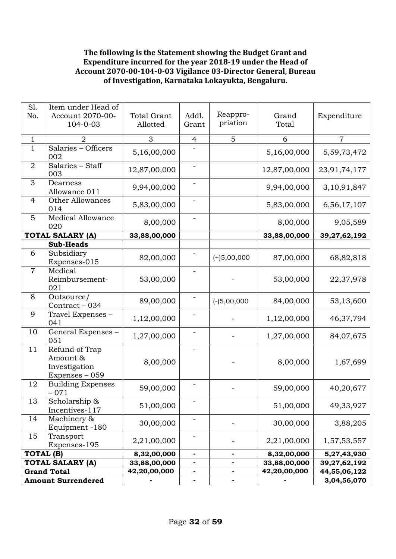#### **The following is the Statement showing the Budget Grant and Expenditure incurred for the year 2018-19 under the Head of Account 2070-00-104-0-03 Vigilance 03-Director General, Bureau of Investigation, Karnataka Lokayukta, Bengaluru.**

| Sl.<br>No.       | Item under Head of<br>Account 2070-00-<br>104-0-03            | <b>Total Grant</b><br>Allotted | Reappro-<br>Addl.<br>priation<br>Grant |               | Grand<br>Total | Expenditure    |
|------------------|---------------------------------------------------------------|--------------------------------|----------------------------------------|---------------|----------------|----------------|
| $\mathbf{1}$     | 2                                                             | 3                              | $\overline{4}$                         | 5             | 6              | $\overline{7}$ |
| $\mathbf{1}$     | Salaries - Officers<br>002                                    | 5,16,00,000                    |                                        |               | 5,16,00,000    | 5,59,73,472    |
| $\overline{2}$   | Salaries - Staff<br>003                                       | 12,87,00,000                   |                                        |               | 12,87,00,000   | 23,91,74,177   |
| 3                | Dearness<br>Allowance 011                                     | 9,94,00,000                    | $\overline{\phantom{0}}$               |               | 9,94,00,000    | 3,10,91,847    |
| $\overline{4}$   | <b>Other Allowances</b><br>014                                | 5,83,00,000                    |                                        |               | 5,83,00,000    | 6,56,17,107    |
| 5                | <b>Medical Allowance</b><br>020                               | 8,00,000                       |                                        |               | 8,00,000       | 9,05,589       |
|                  | <b>TOTAL SALARY (A)</b>                                       | 33,88,00,000                   |                                        |               | 33,88,00,000   | 39,27,62,192   |
|                  | <b>Sub-Heads</b>                                              |                                |                                        |               |                |                |
| 6                | Subsidiary<br>Expenses-015                                    | 82,00,000                      |                                        | $(+)5,00,000$ | 87,00,000      | 68,82,818      |
| $\overline{7}$   | Medical<br>Reimbursement-<br>021                              | 53,00,000                      | $\qquad \qquad -$                      |               | 53,00,000      | 22,37,978      |
| 8                | Outsource/<br>Contract - 034                                  | 89,00,000                      |                                        | $(-)5,00,000$ | 84,00,000      | 53,13,600      |
| 9                | Travel Expenses -<br>041                                      | 1,12,00,000                    |                                        |               | 1,12,00,000    | 46, 37, 794    |
| 10               | General Expenses -<br>051                                     | 1,27,00,000                    |                                        |               | 1,27,00,000    | 84,07,675      |
| 11               | Refund of Trap<br>Amount &<br>Investigation<br>Expenses - 059 | 8,00,000                       |                                        |               | 8,00,000       | 1,67,699       |
| 12               | <b>Building Expenses</b><br>$-071$                            | 59,00,000                      |                                        |               | 59,00,000      | 40,20,677      |
| 13               | Scholarship &<br>Incentives-117                               | 51,00,000                      |                                        |               | 51,00,000      | 49,33,927      |
| 14               | Machinery &<br>Equipment -180                                 | 30,00,000                      |                                        |               | 30,00,000      | 3,88,205       |
| 15               | Transport<br>Expenses-195                                     | 2,21,00,000                    | -                                      |               | 2,21,00,000    | 1,57,53,557    |
| <b>TOTAL (B)</b> |                                                               | 8,32,00,000                    | $\blacksquare$                         | ٠             | 8,32,00,000    | 5,27,43,930    |
|                  | <b>TOTAL SALARY (A)</b>                                       | 33,88,00,000                   | $\blacksquare$                         |               | 33,88,00,000   | 39,27,62,192   |
|                  | <b>Grand Total</b>                                            | 42,20,00,000                   | $\blacksquare$                         | ۰             | 42,20,00,000   | 44,55,06,122   |
|                  | <b>Amount Surrendered</b>                                     |                                | $\blacksquare$                         | -             |                | 3,04,56,070    |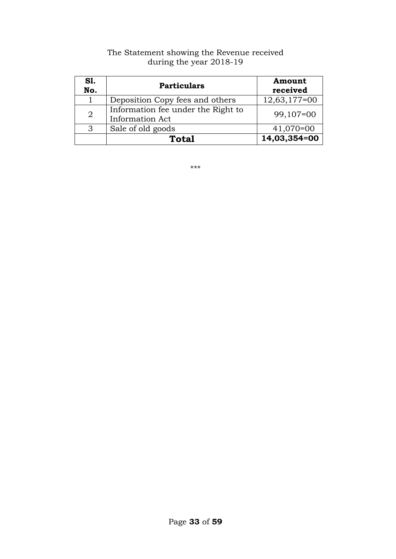| <b>S1.</b><br>No. | <b>Particulars</b>                                           | Amount<br>received |
|-------------------|--------------------------------------------------------------|--------------------|
|                   | Deposition Copy fees and others                              | $12,63,177=00$     |
| $\overline{2}$    | Information fee under the Right to<br><b>Information Act</b> | $99,107=00$        |
| 3                 | Sale of old goods                                            | $41,070=00$        |
|                   | <b>Total</b>                                                 | 14,03,354=00       |

#### The Statement showing the Revenue received during the year 2018-19

\*\*\*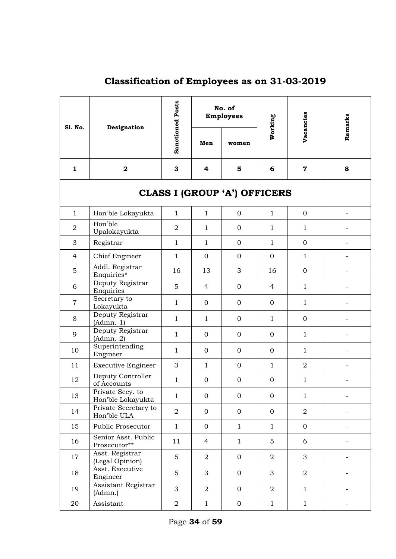| S1. No.                             | Designation                           | <b>Sanctioned Posts</b> |                  | No. of<br><b>Employees</b> | Working        | Vacancies        | Remarks                  |  |  |
|-------------------------------------|---------------------------------------|-------------------------|------------------|----------------------------|----------------|------------------|--------------------------|--|--|
|                                     |                                       |                         | Men              | women                      |                |                  |                          |  |  |
| $\mathbf{1}$                        | $\mathbf 2$                           | 3                       | 4                | 5                          | 6              | $\mathbf 7$      | 8                        |  |  |
| <b>CLASS I (GROUP 'A') OFFICERS</b> |                                       |                         |                  |                            |                |                  |                          |  |  |
| $\mathbf{1}$                        | Hon'ble Lokayukta                     | $\mathbf{1}$            | $\mathbf{1}$     | $\boldsymbol{0}$           | $\mathbf{1}$   | $\mathbf{0}$     |                          |  |  |
| $\overline{2}$                      | Hon'ble<br>Upalokayukta               | $\overline{2}$          | $\mathbf{1}$     | $\mathbf{0}$               | $\mathbf{1}$   | $\mathbf{1}$     |                          |  |  |
| 3                                   | Registrar                             | $\mathbf{1}$            | $\mathbf{1}$     | $\mathbf{O}$               | $\mathbf{1}$   | $\mathbf{0}$     |                          |  |  |
| 4                                   | Chief Engineer                        | $\mathbf{1}$            | $\mathbf{O}$     | $\mathbf{O}$               | $\mathbf{0}$   | $\mathbf{1}$     |                          |  |  |
| 5                                   | Addl. Registrar<br>Enquiries*         | 16                      | 13               | 3                          | 16             | $\boldsymbol{0}$ |                          |  |  |
| 6                                   | Deputy Registrar<br>Enquiries         | 5                       | $\overline{4}$   | $\mathbf 0$                | $\overline{4}$ | $\mathbf{1}$     |                          |  |  |
| $\overline{7}$                      | Secretary to<br>Lokayukta             | $\mathbf{1}$            | $\mathbf{0}$     | $\mathbf 0$                | $\mathbf{0}$   | $\mathbf{1}$     |                          |  |  |
| 8                                   | Deputy Registrar<br>$(Admn.-1)$       | $\mathbf{1}$            | $\mathbf{1}$     | $\mathbf{0}$               | $\mathbf{1}$   | $\mathbf{0}$     |                          |  |  |
| 9                                   | Deputy Registrar<br>$(Admn.-2)$       | $\mathbf{1}$            | $\mathbf{0}$     | $\mathbf 0$                | $\mathbf{0}$   | $\mathbf{1}$     |                          |  |  |
| 10                                  | Superintending<br>Engineer            | $\mathbf{1}$            | $\mathbf{O}$     | $\mathbf 0$                | $\mathbf{0}$   | $\mathbf{1}$     |                          |  |  |
| 11                                  | <b>Executive Engineer</b>             | 3                       | $\mathbf{1}$     | $\mathbf{0}$               | $\mathbf{1}$   | $\overline{2}$   |                          |  |  |
| 12                                  | Deputy Controller<br>of Accounts      | $\mathbf{1}$            | 0                | $\boldsymbol{0}$           | $\mathbf{0}$   | $\mathbf{1}$     |                          |  |  |
| 13                                  | Private Secy. to<br>Hon'ble Lokayukta | $\mathbf{1}$            | 0                | 0                          | 0              | $\mathbf 1$      |                          |  |  |
| 14                                  | Private Secretary to<br>Hon'ble ULA   | $\overline{2}$          | $\boldsymbol{0}$ | $\mathbf 0$                | $\mathbf{0}$   | $\boldsymbol{2}$ |                          |  |  |
| 15                                  | Public Prosecutor                     | $\mathbf{1}$            | $\overline{O}$   | $\mathbf{1}$               | $\mathbf{1}$   | $\mathbf{0}$     |                          |  |  |
| 16                                  | Senior Asst. Public<br>Prosecutor**   | 11                      | $\overline{4}$   | $\mathbf{1}$               | 5              | 6                |                          |  |  |
| 17                                  | Asst. Registrar<br>(Legal Opinion)    | 5                       | $\overline{2}$   | $\overline{O}$             | $\overline{a}$ | 3                |                          |  |  |
| 18                                  | Asst. Executive<br>Engineer           | 5                       | 3                | $\overline{O}$             | 3              | $\overline{a}$   |                          |  |  |
| 19                                  | Assistant Registrar<br>(Admn.)        | 3                       | $\overline{2}$   | $\mathbf{0}$               | $\overline{2}$ | $\mathbf{1}$     |                          |  |  |
| 20                                  | Assistant                             | $\overline{2}$          | $\mathbf{1}$     | $\boldsymbol{0}$           | $\mathbf{1}$   | $\mathbf{1}$     | $\overline{\phantom{a}}$ |  |  |

## **Classification of Employees as on 31-03-2019**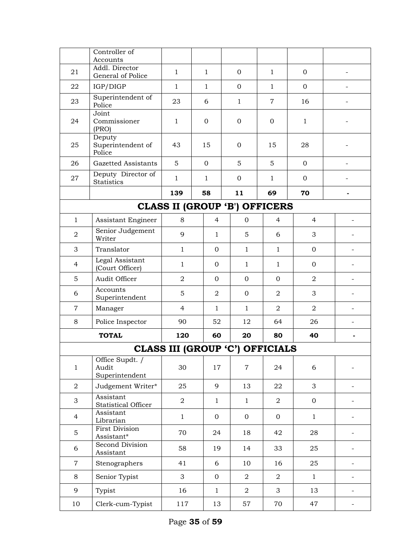|                | Controller of<br>Accounts                  |                                        |              |                |                  |                |                |                          |
|----------------|--------------------------------------------|----------------------------------------|--------------|----------------|------------------|----------------|----------------|--------------------------|
| 21             | Addl. Director<br>General of Police        | $\mathbf{1}$                           | $\mathbf{1}$ |                | $\mathbf{0}$     | $\mathbf{1}$   | $\mathbf{0}$   |                          |
| 22             | IGP/DIGP                                   | $\mathbf{1}$                           | $\mathbf{1}$ |                | $\overline{0}$   | $\mathbf{1}$   | $\overline{0}$ |                          |
| 23             | Superintendent of<br>Police                | 23                                     | 6            |                | $\mathbf{1}$     | $\overline{7}$ | 16             |                          |
| 24             | Joint<br>Commissioner<br>(PRO)             | $\mathbf{1}$                           | $\mathbf{0}$ |                | $\boldsymbol{0}$ | $\mathbf{0}$   | $\mathbf{1}$   |                          |
| 25             | Deputy<br>Superintendent of<br>Police      | 43                                     | 15           |                | $\mathbf 0$      | 15             | 28             |                          |
| 26             | Gazetted Assistants                        | 5                                      | $\mathbf{0}$ |                | 5                | 5              | $\mathbf{O}$   |                          |
| 27             | Deputy Director of<br><b>Statistics</b>    | $\mathbf{1}$                           | $\mathbf{1}$ |                | $\mathbf{O}$     | $\mathbf{1}$   | $\overline{0}$ |                          |
|                |                                            | 139                                    | 58           |                | 11               | 69             | 70             |                          |
|                |                                            | <b>CLASS II (GROUP 'B') OFFICERS</b>   |              |                |                  |                |                |                          |
| $\mathbf{1}$   | Assistant Engineer                         | 8                                      |              | $\overline{4}$ | $\mathbf{0}$     | $\overline{4}$ | 4              |                          |
| $\overline{2}$ | Senior Judgement<br>Writer                 | 9                                      |              | $\mathbf{1}$   | 5                | 6              | 3              |                          |
| 3              | Translator                                 | $\mathbf{1}$                           |              | $\Omega$       | $\mathbf{1}$     | $\mathbf{1}$   | $\mathbf{0}$   |                          |
| 4              | Legal Assistant<br>(Court Officer)         | $\mathbf{1}$                           |              | $\mathbf{0}$   | $\mathbf{1}$     | 1              | $\mathbf{0}$   |                          |
| 5              | Audit Officer                              | $\overline{2}$                         |              | $\mathbf{0}$   | $\mathbf{0}$     | $\mathbf{0}$   | $\overline{2}$ |                          |
| 6              | Accounts<br>Superintendent                 | 5                                      |              | $\overline{2}$ | $\mathbf{0}$     | $\overline{2}$ | 3              |                          |
| $\overline{7}$ | Manager                                    | $\overline{4}$                         |              | $\mathbf{1}$   | $\mathbf{1}$     | $\overline{2}$ | $\overline{2}$ |                          |
| 8              | Police Inspector                           | 90                                     |              | 52             | 12               | 64             | 26             |                          |
|                | <b>TOTAL</b>                               | 120                                    |              | 60             | 20               | 80             | 40             |                          |
|                |                                            | <b>CLASS III (GROUP 'C') OFFICIALS</b> |              |                |                  |                |                |                          |
| $\mathbf{1}$   | Office Supdt. /<br>Audit<br>Superintendent | 30                                     |              | 17             | 7                | 24             | 6              |                          |
| $\overline{2}$ | Judgement Writer*                          | 25                                     |              | 9              | 13               | 22             | 3              |                          |
| 3              | Assistant<br>Statistical Officer           | $\overline{a}$                         |              | $\mathbf{1}$   | $\mathbf{1}$     | $\overline{2}$ | $\mathbf{0}$   |                          |
| $\overline{4}$ | Assistant<br>Librarian                     | $\mathbf{1}$                           |              | $\mathbf{0}$   | $\mathbf{0}$     | $\mathbf{0}$   | $\mathbf{1}$   |                          |
| 5              | <b>First Division</b><br>Assistant*        | 70                                     |              | 24             | 18               | 42             | 28             |                          |
| 6              | Second Division<br>Assistant               | 58                                     |              | 19             | 14               | 33             | 25             |                          |
| $\overline{7}$ | Stenographers                              | 41                                     |              | 6              | 10               | 16             | 25             |                          |
| 8              | Senior Typist                              | 3                                      |              | $\mathbf{0}$   | $\overline{a}$   | $\overline{2}$ | $\mathbf{1}$   |                          |
| 9              | Typist                                     | 16                                     |              | $\mathbf{1}$   | $\overline{a}$   | 3              | 13             | $\overline{\phantom{a}}$ |
| 10             | Clerk-cum-Typist                           | 117                                    |              | 13             | 57               | 70             | 47             | $\overline{\phantom{a}}$ |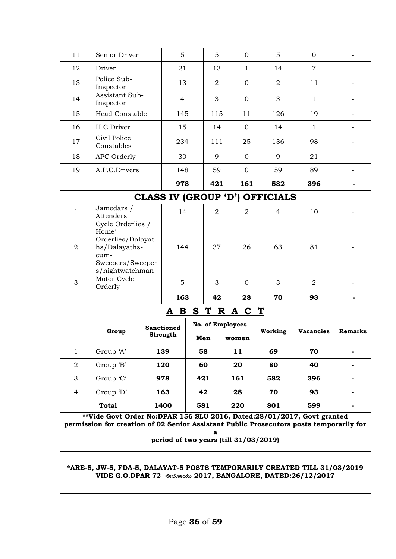|                                                                                                                                                                                                                 |                                                                                                                                          |  | 5                 |   |                  |          |                |   |                |                  |         |
|-----------------------------------------------------------------------------------------------------------------------------------------------------------------------------------------------------------------|------------------------------------------------------------------------------------------------------------------------------------------|--|-------------------|---|------------------|----------|----------------|---|----------------|------------------|---------|
| 11                                                                                                                                                                                                              | Senior Driver                                                                                                                            |  |                   |   | 5                |          | $\Omega$       |   | 5              | $\mathbf{0}$     |         |
| 12                                                                                                                                                                                                              | Driver                                                                                                                                   |  | 21                |   | 13               |          | $\mathbf{1}$   |   | 14             | $\overline{7}$   |         |
| 13                                                                                                                                                                                                              | Police Sub-<br>Inspector                                                                                                                 |  | 13                |   | $\overline{a}$   |          | $\mathbf{0}$   |   | $\overline{2}$ | 11               |         |
| 14                                                                                                                                                                                                              | Assistant Sub-<br>Inspector                                                                                                              |  | $\overline{4}$    |   | 3                |          | $\Omega$       |   | 3              | $\mathbf{1}$     |         |
| 15                                                                                                                                                                                                              | Head Constable                                                                                                                           |  | 145               |   | 115              |          | 11             |   | 126            | 19               |         |
| 16                                                                                                                                                                                                              | H.C.Driver                                                                                                                               |  | 15                |   | 14               |          | $\overline{0}$ |   | 14             | $\mathbf{1}$     |         |
| 17                                                                                                                                                                                                              | Civil Police<br>Constables                                                                                                               |  | 234               |   | 111              |          | 25             |   | 136            | 98               |         |
| 18                                                                                                                                                                                                              | APC Orderly                                                                                                                              |  | 30                |   | 9                |          | $\mathbf{0}$   |   | 9              | 21               |         |
| 19                                                                                                                                                                                                              | A.P.C.Drivers                                                                                                                            |  | 148               |   | 59               |          | $\Omega$       |   | 59             | 89               |         |
|                                                                                                                                                                                                                 |                                                                                                                                          |  | 978               |   | 421              |          | 161            |   | 582            | 396              |         |
| <b>CLASS IV (GROUP 'D') OFFICIALS</b>                                                                                                                                                                           |                                                                                                                                          |  |                   |   |                  |          |                |   |                |                  |         |
| $\mathbf{1}$                                                                                                                                                                                                    | Jamedars /<br>Attenders                                                                                                                  |  | 14                |   | $\overline{2}$   |          | $\overline{a}$ |   | 4              | 10               |         |
| 2                                                                                                                                                                                                               | Cycle Orderlies /<br>Home*<br>Orderlies/Dalayat<br>hs/Dalayaths-<br>cum-<br>Sweepers/Sweeper<br>s/nightwatchman                          |  | 144               |   | 37               |          | 26             |   | 63             | 81               |         |
| 3                                                                                                                                                                                                               | Motor Cycle<br>Orderly                                                                                                                   |  | 5                 |   | 3                |          | $\Omega$       |   | 3              | $\overline{2}$   |         |
|                                                                                                                                                                                                                 |                                                                                                                                          |  | 163               |   |                  | 42<br>28 |                |   | 70             | 93               |         |
|                                                                                                                                                                                                                 |                                                                                                                                          |  | B<br>A            | S | T                |          | R A C          | T |                |                  |         |
|                                                                                                                                                                                                                 |                                                                                                                                          |  | <b>Sanctioned</b> |   | No. of Employees |          |                |   |                |                  |         |
|                                                                                                                                                                                                                 | Group                                                                                                                                    |  | Strength          |   | Men              |          | women          |   | Working        | <b>Vacancies</b> | Remarks |
| $\mathbf{1}$                                                                                                                                                                                                    | Group 'A'                                                                                                                                |  | 139               |   | 58               |          | 11             |   | 69             | 70               |         |
| $\overline{2}$                                                                                                                                                                                                  | Group 'B'                                                                                                                                |  | 120               |   | 60               |          | 20             |   | 80             | 40               |         |
| 3                                                                                                                                                                                                               | Group 'C'                                                                                                                                |  | 978               |   | 421              |          | 161            |   | 582            | 396              |         |
| 4                                                                                                                                                                                                               | Group 'D'                                                                                                                                |  | 163               |   | 42               |          | 28             |   | 70             | 93               |         |
|                                                                                                                                                                                                                 | <b>Total</b>                                                                                                                             |  | 1400              |   | 581              |          | 220            |   | 801            | 599              |         |
| **Vide Govt Order No:DPAR 156 SLU 2016, Dated:28/01/2017, Govt granted<br>permission for creation of 02 Senior Assistant Public Prosecutors posts temporarily for<br>a<br>period of two years (till 31/03/2019) |                                                                                                                                          |  |                   |   |                  |          |                |   |                |                  |         |
|                                                                                                                                                                                                                 | *ARE-5, JW-5, FDA-5, DALAYAT-5 POSTS TEMPORARILY CREATED TILL 31/03/2019<br>VIDE G.O.DPAR 72 Recloecds 2017, BANGALORE, DATED:26/12/2017 |  |                   |   |                  |          |                |   |                |                  |         |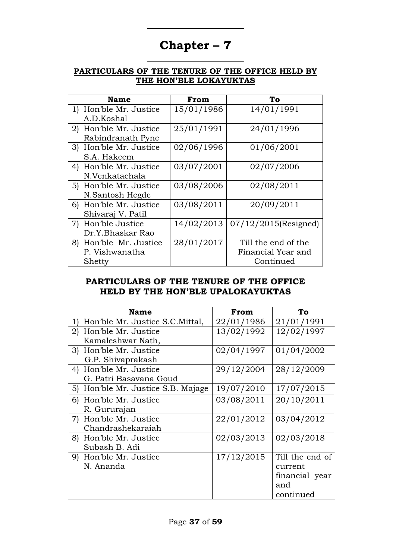# **Chapter – 7**

#### **PARTICULARS OF THE TENURE OF THE OFFICE HELD BY THE HON"BLE LOKAYUKTAS**

| <b>Name</b>               | From       | To                      |
|---------------------------|------------|-------------------------|
| Hon'ble Mr. Justice<br>1) | 15/01/1986 | 14/01/1991              |
| A.D.Koshal                |            |                         |
| 2) Hon'ble Mr. Justice    | 25/01/1991 | 24/01/1996              |
| Rabindranath Pyne         |            |                         |
| 3) Hon'ble Mr. Justice    | 02/06/1996 | 01/06/2001              |
| S.A. Hakeem               |            |                         |
| 4) Hon'ble Mr. Justice    | 03/07/2001 | 02/07/2006              |
| N.Venkatachala            |            |                         |
| 5) Hon'ble Mr. Justice    | 03/08/2006 | 02/08/2011              |
| N.Santosh Hegde           |            |                         |
| Hon'ble Mr. Justice<br>6) | 03/08/2011 | 20/09/2011              |
| Shivaraj V. Patil         |            |                         |
| 7) Hon'ble Justice        | 14/02/2013 | $07/12/2015$ (Resigned) |
| Dr.Y.Bhaskar Rao          |            |                         |
| 8) Hon'ble Mr. Justice    | 28/01/2017 | Till the end of the     |
| P. Vishwanatha            |            | Financial Year and      |
| Shetty                    |            | Continued               |

#### **PARTICULARS OF THE TENURE OF THE OFFICE HELD BY THE HON"BLE UPALOKAYUKTAS**

| <b>Name</b>                                      | From       | To              |
|--------------------------------------------------|------------|-----------------|
| Hon'ble Mr. Justice S.C. Mittal,<br>$\mathbf{1}$ | 22/01/1986 | 21/01/1991      |
| 2) Hon'ble Mr. Justice                           | 13/02/1992 | 12/02/1997      |
| Kamaleshwar Nath,                                |            |                 |
| 3) Hon'ble Mr. Justice                           | 02/04/1997 | 01/04/2002      |
| G.P. Shivaprakash                                |            |                 |
| 4) Hon'ble Mr. Justice                           | 29/12/2004 | 28/12/2009      |
| G. Patri Basavana Goud                           |            |                 |
| 5) Hon'ble Mr. Justice S.B. Majage               | 19/07/2010 | 17/07/2015      |
| 6) Hon'ble Mr. Justice                           | 03/08/2011 | 20/10/2011      |
| R. Gururajan                                     |            |                 |
| 7) Hon'ble Mr. Justice                           | 22/01/2012 | 03/04/2012      |
| Chandrashekaraiah                                |            |                 |
| 8) Hon'ble Mr. Justice                           | 02/03/2013 | 02/03/2018      |
| Subash B. Adi                                    |            |                 |
| 9) Hon'ble Mr. Justice                           | 17/12/2015 | Till the end of |
| N. Ananda                                        |            | current         |
|                                                  |            | financial year  |
|                                                  |            | and             |
|                                                  |            | continued       |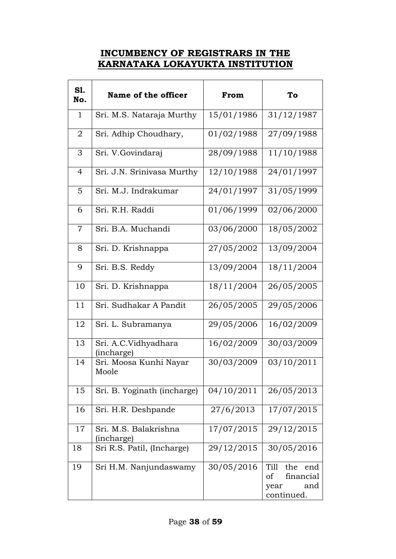### **INCUMBENCY OF REGISTRARS IN THE KARNATAKA LOKAYUKTA INSTITUTION**

| <b>S1.</b><br>No. | Name of the officer                 | From       | To                                                                 |
|-------------------|-------------------------------------|------------|--------------------------------------------------------------------|
| $\mathbf{1}$      | Sri. M.S. Nataraja Murthy           | 15/01/1986 | 31/12/1987                                                         |
| 2                 | Sri. Adhip Choudhary,               | 01/02/1988 | 27/09/1988                                                         |
| 3                 | Sri. V.Govindaraj                   | 28/09/1988 | 11/10/1988                                                         |
| $\overline{4}$    | Sri. J.N. Srinivasa Murthy          | 12/10/1988 | $\frac{1}{24/01/1997}$                                             |
| 5                 | Sri. M.J. Indrakumar                | 24/01/1997 | 31/05/1999                                                         |
| 6                 | Sri. R.H. Raddi                     | 01/06/1999 | 02/06/2000                                                         |
| 7                 | Sri. B.A. Muchandi                  | 03/06/2000 | 18/05/2002                                                         |
| 8                 | Sri. D. Krishnappa                  | 27/05/2002 | 13/09/2004                                                         |
| 9                 | Sri. B.S. Reddy                     | 13/09/2004 | 18/11/2004                                                         |
| 10                | Sri. D. Krishnappa                  | 18/11/2004 | 26/05/2005                                                         |
| 11                | Sri. Sudhakar A Pandit              | 26/05/2005 | 29/05/2006                                                         |
| 12                | Sri. L. Subramanya                  | 29/05/2006 | 16/02/2009                                                         |
| 13                | Sri. A.C.Vidhyadhara<br>(incharge)  | 16/02/2009 | 30/03/2009                                                         |
| 14                | Sri. Moosa Kunhi Nayar<br>Moole     | 30/03/2009 | 03/10/2011                                                         |
| 15                | Sri. B. Yoginath (incharge)         | 04/10/2011 | 26/05/2013                                                         |
| 16                | Sri. H.R. Deshpande                 | 27/6/2013  | 17/07/2015                                                         |
| 17                | Sri. M.S. Balakrishna<br>(incharge) | 17/07/2015 | 29/12/2015                                                         |
| 18                | Sri R.S. Patil, (Incharge)          | 29/12/2015 | 30/05/2016                                                         |
| 19                | Sri H.M. Nanjundaswamy              | 30/05/2016 | Till<br>the<br>end<br>financial<br>of<br>and<br>year<br>continued. |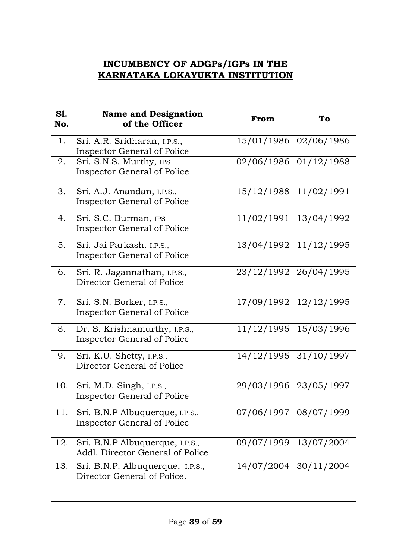## **INCUMBENCY OF ADGPs/IGPs IN THE KARNATAKA LOKAYUKTA INSTITUTION**

| <b>S1.</b><br>No. | <b>Name and Designation</b><br>of the Officer                         | From       | To         |
|-------------------|-----------------------------------------------------------------------|------------|------------|
| 1.                | Sri. A.R. Sridharan, I.P.S.,<br><b>Inspector General of Police</b>    | 15/01/1986 | 02/06/1986 |
| 2.                | Sri. S.N.S. Murthy, IPS<br><b>Inspector General of Police</b>         | 02/06/1986 | 01/12/1988 |
| 3.                | Sri. A.J. Anandan, I.P.S.,<br><b>Inspector General of Police</b>      | 15/12/1988 | 11/02/1991 |
| 4.                | Sri. S.C. Burman, IPS<br><b>Inspector General of Police</b>           | 11/02/1991 | 13/04/1992 |
| 5.                | Sri. Jai Parkash. I.P.S.,<br><b>Inspector General of Police</b>       | 13/04/1992 | 11/12/1995 |
| 6.                | Sri. R. Jagannathan, I.P.S.,<br>Director General of Police            | 23/12/1992 | 26/04/1995 |
| 7.                | Sri. S.N. Borker, I.P.S.,<br><b>Inspector General of Police</b>       | 17/09/1992 | 12/12/1995 |
| 8.                | Dr. S. Krishnamurthy, I.P.S.,<br><b>Inspector General of Police</b>   | 11/12/1995 | 15/03/1996 |
| 9.                | Sri. K.U. Shetty, I.P.S.,<br>Director General of Police               | 14/12/1995 | 31/10/1997 |
| 10.               | Sri. M.D. Singh, I.P.S.,<br><b>Inspector General of Police</b>        | 29/03/1996 | 23/05/1997 |
| 11.               | Sri. B.N.P Albuquerque, I.P.S.,<br><b>Inspector General of Police</b> | 07/06/1997 | 08/07/1999 |
| 12.               | Sri. B.N.P Albuquerque, I.P.S.,<br>Addl. Director General of Police   | 09/07/1999 | 13/07/2004 |
| 13.               | Sri. B.N.P. Albuquerque, I.P.S.,<br>Director General of Police.       | 14/07/2004 | 30/11/2004 |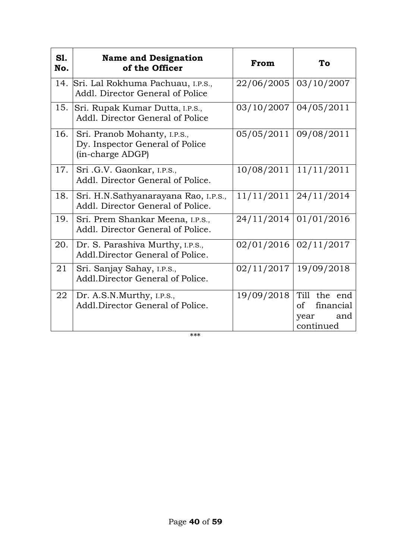| <b>S1.</b><br>No. | <b>Name and Designation</b><br>of the Officer                                       | From       | To                                                                |
|-------------------|-------------------------------------------------------------------------------------|------------|-------------------------------------------------------------------|
| 14.               | Sri. Lal Rokhuma Pachuau, I.P.S.,<br>Addl. Director General of Police               | 22/06/2005 | 03/10/2007                                                        |
| 15.               | Sri. Rupak Kumar Dutta, I.P.S.,<br>Addl. Director General of Police                 | 03/10/2007 | 04/05/2011                                                        |
| 16.               | Sri. Pranob Mohanty, I.P.S.,<br>Dy. Inspector General of Police<br>(in-charge ADGP) | 05/05/2011 | 09/08/2011                                                        |
| 17.               | Sri .G.V. Gaonkar, I.P.S.,<br>Addl. Director General of Police.                     | 10/08/2011 | 11/11/2011                                                        |
| 18.               | Sri. H.N.Sathyanarayana Rao, I.P.S.,<br>Addl. Director General of Police.           | 11/11/2011 | 24/11/2014                                                        |
| 19.               | Sri. Prem Shankar Meena, I.P.S.,<br>Addl. Director General of Police.               | 24/11/2014 | 01/01/2016                                                        |
| 20.               | Dr. S. Parashiva Murthy, I.P.S.,<br>Addl.Director General of Police.                | 02/01/2016 | 02/11/2017                                                        |
| 21                | Sri. Sanjay Sahay, I.P.S.,<br>Addl.Director General of Police.                      | 02/11/2017 | 19/09/2018                                                        |
| 22                | Dr. A.S.N.Murthy, I.P.S.,<br>Addl.Director General of Police.                       | 19/09/2018 | Till the end<br>$\sigma$<br>financial<br>and<br>year<br>continued |

\*\*\*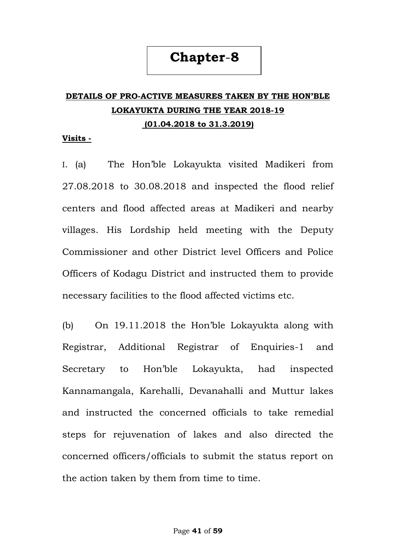## **Chapter**-**8**

## **DETAILS OF PRO-ACTIVE MEASURES TAKEN BY THE HON"BLE LOKAYUKTA DURING THE YEAR 2018-19 (01.04.2018 to 31.3.2019)**

#### **Visits -**

I. (a) The Hon"ble Lokayukta visited Madikeri from 27.08.2018 to 30.08.2018 and inspected the flood relief centers and flood affected areas at Madikeri and nearby villages. His Lordship held meeting with the Deputy Commissioner and other District level Officers and Police Officers of Kodagu District and instructed them to provide necessary facilities to the flood affected victims etc.

(b) On 19.11.2018 the Hon"ble Lokayukta along with Registrar, Additional Registrar of Enquiries-1 and Secretary to Hon"ble Lokayukta, had inspected Kannamangala, Karehalli, Devanahalli and Muttur lakes and instructed the concerned officials to take remedial steps for rejuvenation of lakes and also directed the concerned officers/officials to submit the status report on the action taken by them from time to time.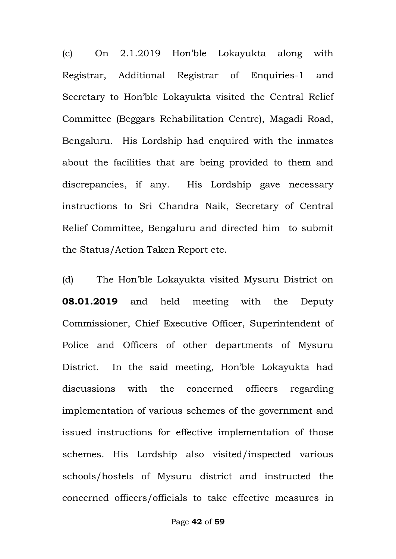(c) On 2.1.2019 Hon"ble Lokayukta along with Registrar, Additional Registrar of Enquiries-1 and Secretary to Hon"ble Lokayukta visited the Central Relief Committee (Beggars Rehabilitation Centre), Magadi Road, Bengaluru. His Lordship had enquired with the inmates about the facilities that are being provided to them and discrepancies, if any. His Lordship gave necessary instructions to Sri Chandra Naik, Secretary of Central Relief Committee, Bengaluru and directed him to submit the Status/Action Taken Report etc.

(d) The Hon"ble Lokayukta visited Mysuru District on **08.01.2019** and held meeting with the Deputy Commissioner, Chief Executive Officer, Superintendent of Police and Officers of other departments of Mysuru District. In the said meeting, Hon"ble Lokayukta had discussions with the concerned officers regarding implementation of various schemes of the government and issued instructions for effective implementation of those schemes. His Lordship also visited/inspected various schools/hostels of Mysuru district and instructed the concerned officers/officials to take effective measures in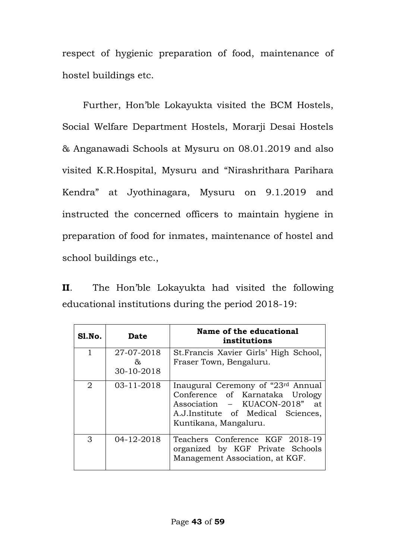respect of hygienic preparation of food, maintenance of hostel buildings etc.

 Further, Hon"ble Lokayukta visited the BCM Hostels, Social Welfare Department Hostels, Morarji Desai Hostels & Anganawadi Schools at Mysuru on 08.01.2019 and also visited K.R.Hospital, Mysuru and "Nirashrithara Parihara Kendra" at Jyothinagara, Mysuru on 9.1.2019 and instructed the concerned officers to maintain hygiene in preparation of food for inmates, maintenance of hostel and school buildings etc.,

**II**. The Hon"ble Lokayukta had visited the following educational institutions during the period 2018-19:

| Sl.No.         | <b>Date</b>                    | Name of the educational<br>institutions                                                                                                                               |
|----------------|--------------------------------|-----------------------------------------------------------------------------------------------------------------------------------------------------------------------|
| $\mathbf{1}$   | 27-07-2018<br>ረኛ<br>30-10-2018 | St. Francis Xavier Girls' High School,<br>Fraser Town, Bengaluru.                                                                                                     |
| $\overline{2}$ | 03-11-2018                     | Inaugural Ceremony of "23rd Annual<br>Conference of Karnataka Urology<br>Association - KUACON-2018" at<br>A.J.Institute of Medical Sciences,<br>Kuntikana, Mangaluru. |
| 3              | 04-12-2018                     | Teachers Conference KGF 2018-19<br>organized by KGF Private Schools<br>Management Association, at KGF.                                                                |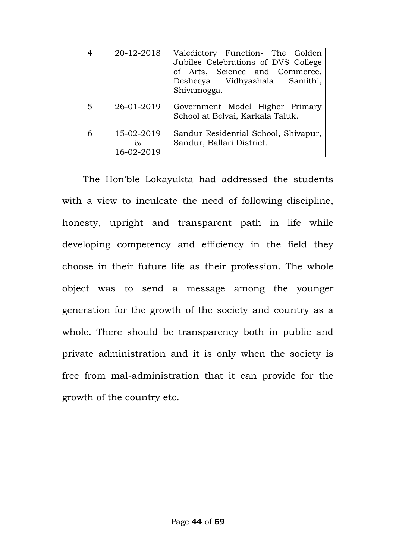| 4              | 20-12-2018                     | Valedictory Function- The Golden<br>Jubilee Celebrations of DVS College<br>of Arts, Science and Commerce,<br>Desheeya Vidhyashala Samithi,<br>Shivamogga. |
|----------------|--------------------------------|-----------------------------------------------------------------------------------------------------------------------------------------------------------|
| $\overline{5}$ | 26-01-2019                     | Government Model Higher Primary<br>School at Belvai, Karkala Taluk.                                                                                       |
| 6              | 15-02-2019<br>&.<br>16-02-2019 | Sandur Residential School, Shivapur,<br>Sandur, Ballari District.                                                                                         |

 The Hon"ble Lokayukta had addressed the students with a view to inculcate the need of following discipline, honesty, upright and transparent path in life while developing competency and efficiency in the field they choose in their future life as their profession. The whole object was to send a message among the younger generation for the growth of the society and country as a whole. There should be transparency both in public and private administration and it is only when the society is free from mal-administration that it can provide for the growth of the country etc.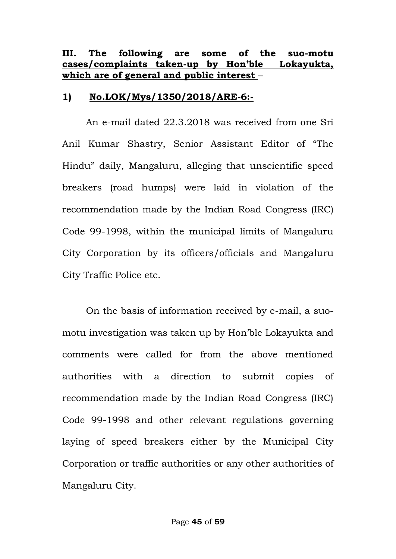### **III. The following are some of the suo-motu cases/complaints taken-up by Hon"ble Lokayukta, which are of general and public interest** –

### **1) No.LOK/Mys/1350/2018/ARE-6:-**

 An e-mail dated 22.3.2018 was received from one Sri Anil Kumar Shastry, Senior Assistant Editor of "The Hindu" daily, Mangaluru, alleging that unscientific speed breakers (road humps) were laid in violation of the recommendation made by the Indian Road Congress (IRC) Code 99-1998, within the municipal limits of Mangaluru City Corporation by its officers/officials and Mangaluru City Traffic Police etc.

 On the basis of information received by e-mail, a suomotu investigation was taken up by Hon"ble Lokayukta and comments were called for from the above mentioned authorities with a direction to submit copies of recommendation made by the Indian Road Congress (IRC) Code 99-1998 and other relevant regulations governing laying of speed breakers either by the Municipal City Corporation or traffic authorities or any other authorities of Mangaluru City.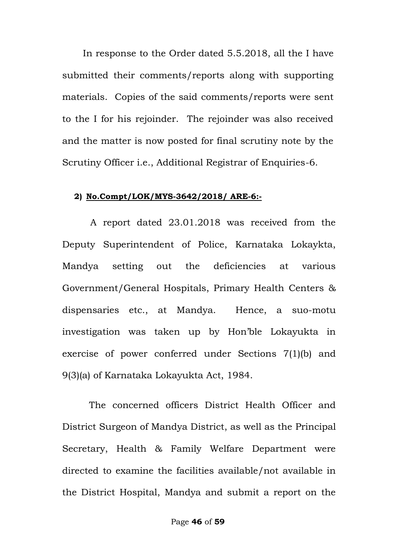In response to the Order dated 5.5.2018, all the I have submitted their comments/reports along with supporting materials. Copies of the said comments/reports were sent to the I for his rejoinder. The rejoinder was also received and the matter is now posted for final scrutiny note by the Scrutiny Officer i.e., Additional Registrar of Enquiries-6.

#### **2) No.Compt/LOK/MYS-3642/2018/ ARE-6:-**

 A report dated 23.01.2018 was received from the Deputy Superintendent of Police, Karnataka Lokaykta, Mandya setting out the deficiencies at various Government/General Hospitals, Primary Health Centers & dispensaries etc., at Mandya. Hence, a suo-motu investigation was taken up by Hon"ble Lokayukta in exercise of power conferred under Sections 7(1)(b) and 9(3)(a) of Karnataka Lokayukta Act, 1984.

The concerned officers District Health Officer and District Surgeon of Mandya District, as well as the Principal Secretary, Health & Family Welfare Department were directed to examine the facilities available/not available in the District Hospital, Mandya and submit a report on the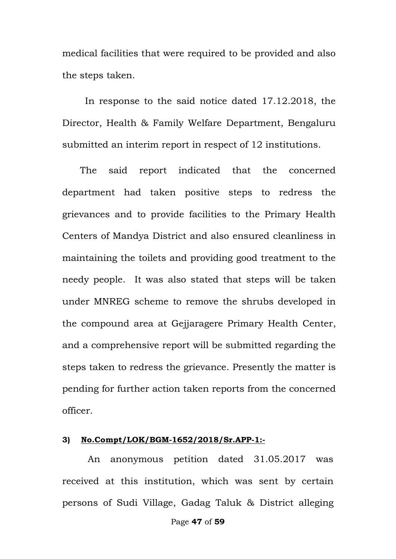medical facilities that were required to be provided and also the steps taken.

 In response to the said notice dated 17.12.2018, the Director, Health & Family Welfare Department, Bengaluru submitted an interim report in respect of 12 institutions.

 The said report indicated that the concerned department had taken positive steps to redress the grievances and to provide facilities to the Primary Health Centers of Mandya District and also ensured cleanliness in maintaining the toilets and providing good treatment to the needy people. It was also stated that steps will be taken under MNREG scheme to remove the shrubs developed in the compound area at Gejjaragere Primary Health Center, and a comprehensive report will be submitted regarding the steps taken to redress the grievance. Presently the matter is pending for further action taken reports from the concerned officer.

#### **3) No.Compt/LOK/BGM-1652/2018/Sr.APP-1:-**

 An anonymous petition dated 31.05.2017 was received at this institution, which was sent by certain persons of Sudi Village, Gadag Taluk & District alleging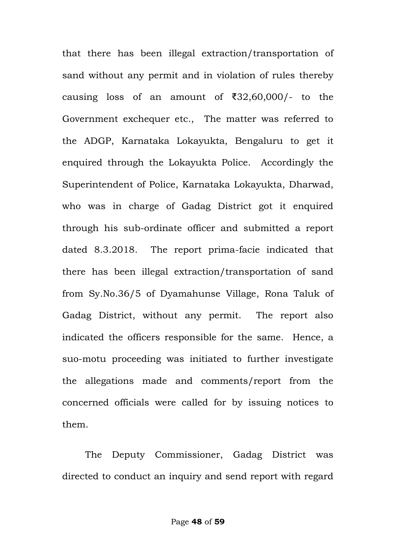that there has been illegal extraction/transportation of sand without any permit and in violation of rules thereby causing loss of an amount of ₹32,60,000/- to the Government exchequer etc., The matter was referred to the ADGP, Karnataka Lokayukta, Bengaluru to get it enquired through the Lokayukta Police. Accordingly the Superintendent of Police, Karnataka Lokayukta, Dharwad, who was in charge of Gadag District got it enquired through his sub-ordinate officer and submitted a report dated 8.3.2018. The report prima-facie indicated that there has been illegal extraction/transportation of sand from Sy.No.36/5 of Dyamahunse Village, Rona Taluk of Gadag District, without any permit. The report also indicated the officers responsible for the same. Hence, a suo-motu proceeding was initiated to further investigate the allegations made and comments/report from the concerned officials were called for by issuing notices to them.

 The Deputy Commissioner, Gadag District was directed to conduct an inquiry and send report with regard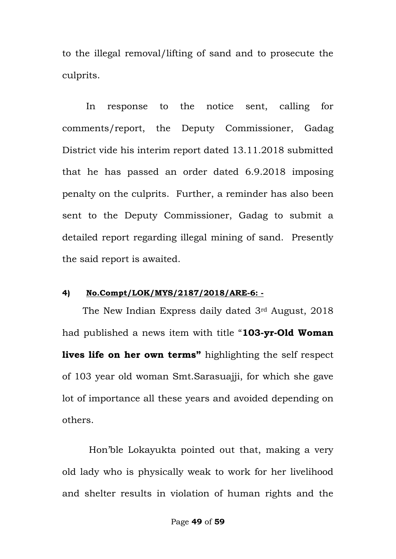to the illegal removal/lifting of sand and to prosecute the culprits.

In response to the notice sent, calling for comments/report, the Deputy Commissioner, Gadag District vide his interim report dated 13.11.2018 submitted that he has passed an order dated 6.9.2018 imposing penalty on the culprits. Further, a reminder has also been sent to the Deputy Commissioner, Gadag to submit a detailed report regarding illegal mining of sand. Presently the said report is awaited.

#### **4) No.Compt/LOK/MYS/2187/2018/ARE-6: -**

 The New Indian Express daily dated 3rd August, 2018 had published a news item with title "**103-yr-Old Woman lives life on her own terms"** highlighting the self respect of 103 year old woman Smt.Sarasuajji, for which she gave lot of importance all these years and avoided depending on others.

 Hon"ble Lokayukta pointed out that, making a very old lady who is physically weak to work for her livelihood and shelter results in violation of human rights and the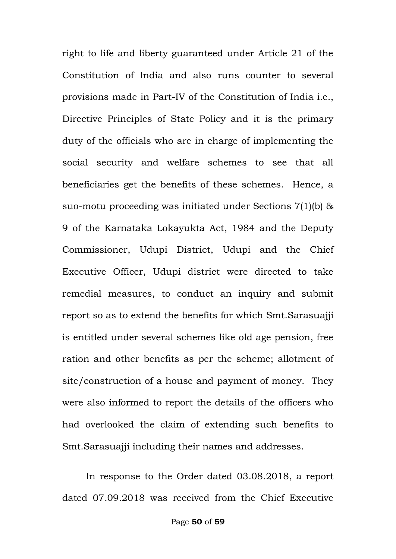right to life and liberty guaranteed under Article 21 of the Constitution of India and also runs counter to several provisions made in Part-IV of the Constitution of India i.e., Directive Principles of State Policy and it is the primary duty of the officials who are in charge of implementing the social security and welfare schemes to see that all beneficiaries get the benefits of these schemes. Hence, a suo-motu proceeding was initiated under Sections 7(1)(b) & 9 of the Karnataka Lokayukta Act, 1984 and the Deputy Commissioner, Udupi District, Udupi and the Chief Executive Officer, Udupi district were directed to take remedial measures, to conduct an inquiry and submit report so as to extend the benefits for which Smt.Sarasuajji is entitled under several schemes like old age pension, free ration and other benefits as per the scheme; allotment of site/construction of a house and payment of money. They were also informed to report the details of the officers who had overlooked the claim of extending such benefits to Smt.Sarasuajji including their names and addresses.

 In response to the Order dated 03.08.2018, a report dated 07.09.2018 was received from the Chief Executive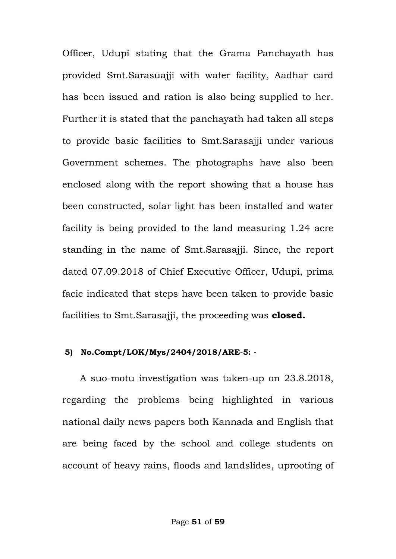Officer, Udupi stating that the Grama Panchayath has provided Smt.Sarasuajji with water facility, Aadhar card has been issued and ration is also being supplied to her. Further it is stated that the panchayath had taken all steps to provide basic facilities to Smt.Sarasajji under various Government schemes. The photographs have also been enclosed along with the report showing that a house has been constructed, solar light has been installed and water facility is being provided to the land measuring 1.24 acre standing in the name of Smt.Sarasajji. Since, the report dated 07.09.2018 of Chief Executive Officer, Udupi, prima facie indicated that steps have been taken to provide basic facilities to Smt.Sarasajji, the proceeding was **closed.**

#### **5) No.Compt/LOK/Mys/2404/2018/ARE-5: -**

 A suo-motu investigation was taken-up on 23.8.2018, regarding the problems being highlighted in various national daily news papers both Kannada and English that are being faced by the school and college students on account of heavy rains, floods and landslides, uprooting of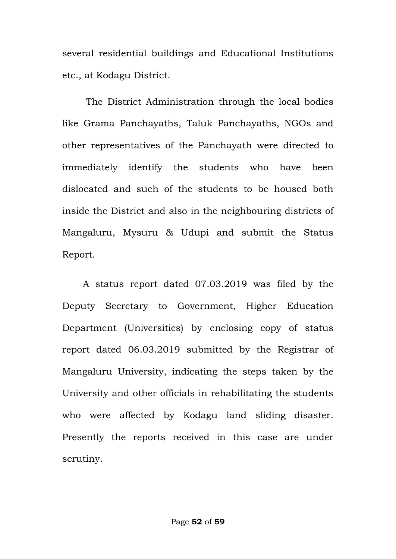several residential buildings and Educational Institutions etc., at Kodagu District.

 The District Administration through the local bodies like Grama Panchayaths, Taluk Panchayaths, NGOs and other representatives of the Panchayath were directed to immediately identify the students who have been dislocated and such of the students to be housed both inside the District and also in the neighbouring districts of Mangaluru, Mysuru & Udupi and submit the Status Report.

 A status report dated 07.03.2019 was filed by the Deputy Secretary to Government, Higher Education Department (Universities) by enclosing copy of status report dated 06.03.2019 submitted by the Registrar of Mangaluru University, indicating the steps taken by the University and other officials in rehabilitating the students who were affected by Kodagu land sliding disaster. Presently the reports received in this case are under scrutiny.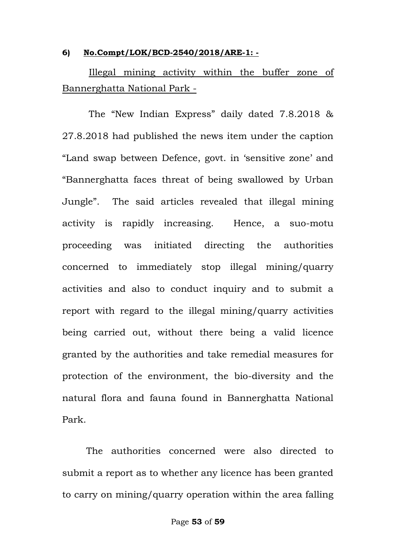#### **6) No.Compt/LOK/BCD-2540/2018/ARE-1: -**

 Illegal mining activity within the buffer zone of Bannerghatta National Park -

The "New Indian Express" daily dated 7.8.2018 & 27.8.2018 had published the news item under the caption "Land swap between Defence, govt. in "sensitive zone" and "Bannerghatta faces threat of being swallowed by Urban Jungle". The said articles revealed that illegal mining activity is rapidly increasing. Hence, a suo-motu proceeding was initiated directing the authorities concerned to immediately stop illegal mining/quarry activities and also to conduct inquiry and to submit a report with regard to the illegal mining/quarry activities being carried out, without there being a valid licence granted by the authorities and take remedial measures for protection of the environment, the bio-diversity and the natural flora and fauna found in Bannerghatta National Park.

The authorities concerned were also directed to submit a report as to whether any licence has been granted to carry on mining/quarry operation within the area falling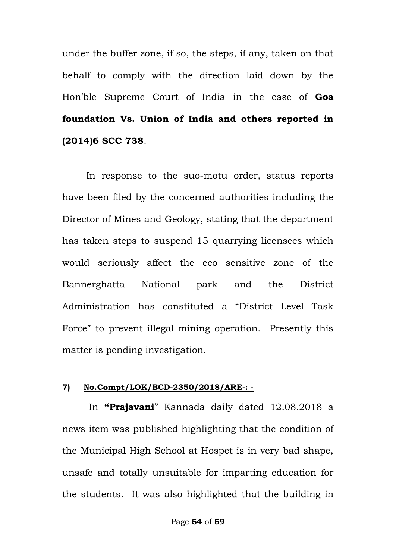under the buffer zone, if so, the steps, if any, taken on that behalf to comply with the direction laid down by the Hon"ble Supreme Court of India in the case of **Goa foundation Vs. Union of India and others reported in (2014)6 SCC 738**.

In response to the suo-motu order, status reports have been filed by the concerned authorities including the Director of Mines and Geology, stating that the department has taken steps to suspend 15 quarrying licensees which would seriously affect the eco sensitive zone of the Bannerghatta National park and the District Administration has constituted a "District Level Task Force" to prevent illegal mining operation. Presently this matter is pending investigation.

#### **7) No.Compt/LOK/BCD-2350/2018/ARE-: -**

 In **"Prajavani**" Kannada daily dated 12.08.2018 a news item was published highlighting that the condition of the Municipal High School at Hospet is in very bad shape, unsafe and totally unsuitable for imparting education for the students. It was also highlighted that the building in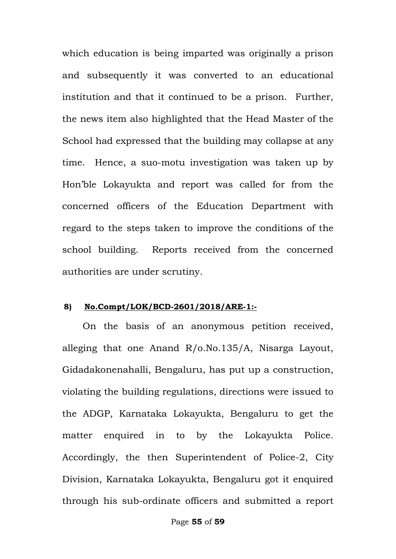which education is being imparted was originally a prison and subsequently it was converted to an educational institution and that it continued to be a prison. Further, the news item also highlighted that the Head Master of the School had expressed that the building may collapse at any time. Hence, a suo-motu investigation was taken up by Hon"ble Lokayukta and report was called for from the concerned officers of the Education Department with regard to the steps taken to improve the conditions of the school building. Reports received from the concerned authorities are under scrutiny.

#### **8) No.Compt/LOK/BCD-2601/2018/ARE-1:-**

 On the basis of an anonymous petition received, alleging that one Anand R/o.No.135/A, Nisarga Layout, Gidadakonenahalli, Bengaluru, has put up a construction, violating the building regulations, directions were issued to the ADGP, Karnataka Lokayukta, Bengaluru to get the matter enquired in to by the Lokayukta Police. Accordingly, the then Superintendent of Police-2, City Division, Karnataka Lokayukta, Bengaluru got it enquired through his sub-ordinate officers and submitted a report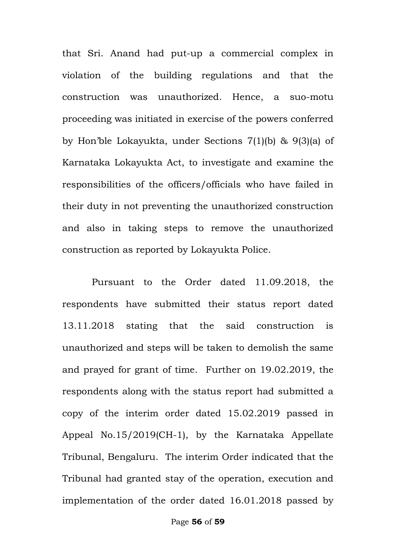that Sri. Anand had put-up a commercial complex in violation of the building regulations and that the construction was unauthorized. Hence, a suo-motu proceeding was initiated in exercise of the powers conferred by Hon"ble Lokayukta, under Sections 7(1)(b) & 9(3)(a) of Karnataka Lokayukta Act, to investigate and examine the responsibilities of the officers/officials who have failed in their duty in not preventing the unauthorized construction and also in taking steps to remove the unauthorized construction as reported by Lokayukta Police.

 Pursuant to the Order dated 11.09.2018, the respondents have submitted their status report dated 13.11.2018 stating that the said construction is unauthorized and steps will be taken to demolish the same and prayed for grant of time. Further on 19.02.2019, the respondents along with the status report had submitted a copy of the interim order dated 15.02.2019 passed in Appeal No.15/2019(CH-1), by the Karnataka Appellate Tribunal, Bengaluru. The interim Order indicated that the Tribunal had granted stay of the operation, execution and implementation of the order dated 16.01.2018 passed by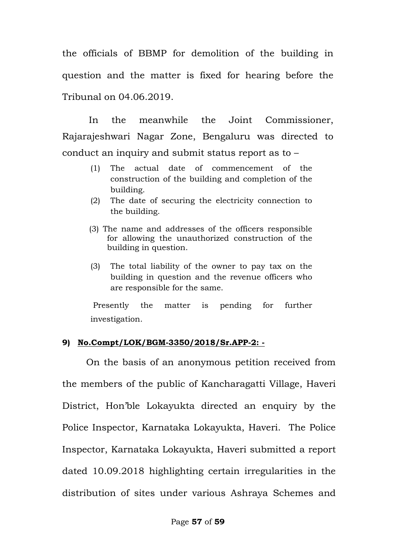the officials of BBMP for demolition of the building in question and the matter is fixed for hearing before the Tribunal on 04.06.2019.

 In the meanwhile the Joint Commissioner, Rajarajeshwari Nagar Zone, Bengaluru was directed to conduct an inquiry and submit status report as to –

- (1) The actual date of commencement of the construction of the building and completion of the building.
- (2) The date of securing the electricity connection to the building.
- (3) The name and addresses of the officers responsible for allowing the unauthorized construction of the building in question.
- (3) The total liability of the owner to pay tax on the building in question and the revenue officers who are responsible for the same.

Presently the matter is pending for further investigation.

#### **9) No.Compt/LOK/BGM-3350/2018/Sr.APP-2: -**

On the basis of an anonymous petition received from the members of the public of Kancharagatti Village, Haveri District, Hon"ble Lokayukta directed an enquiry by the Police Inspector, Karnataka Lokayukta, Haveri. The Police Inspector, Karnataka Lokayukta, Haveri submitted a report dated 10.09.2018 highlighting certain irregularities in the distribution of sites under various Ashraya Schemes and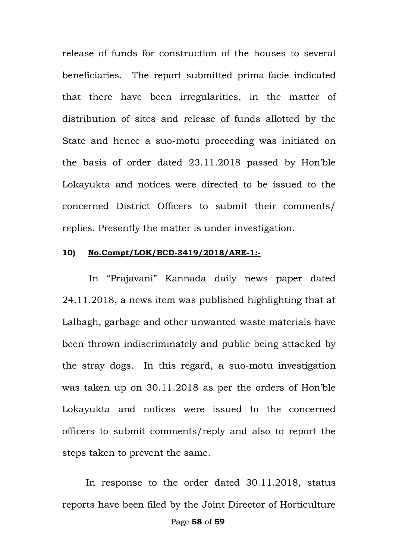release of funds for construction of the houses to several beneficiaries. The report submitted prima-facie indicated that there have been irregularities, in the matter of distribution of sites and release of funds allotted by the State and hence a suo-motu proceeding was initiated on the basis of order dated 23.11.2018 passed by Hon"ble Lokayukta and notices were directed to be issued to the concerned District Officers to submit their comments/ replies. Presently the matter is under investigation.

#### **10) No.Compt/LOK/BCD-3419/2018/ARE-1:-**

In "Prajavani" Kannada daily news paper dated 24.11.2018, a news item was published highlighting that at Lalbagh, garbage and other unwanted waste materials have been thrown indiscriminately and public being attacked by the stray dogs. In this regard, a suo-motu investigation was taken up on 30.11.2018 as per the orders of Hon"ble Lokayukta and notices were issued to the concerned officers to submit comments/reply and also to report the steps taken to prevent the same.

 In response to the order dated 30.11.2018, status reports have been filed by the Joint Director of Horticulture